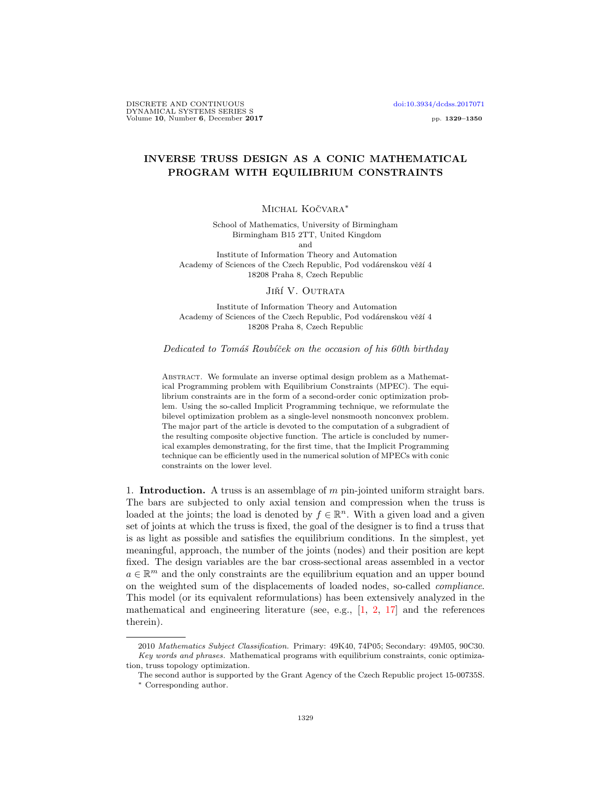DISCRETE AND CONTINUOUS [doi:10.3934/dcdss.2017071](http://dx.doi.org/10.3934/dcdss.2017071) DYNAMICAL SYSTEMS SERIES S Volume 10, Number 6, December 2017 pp. 1329–1350

## INVERSE TRUSS DESIGN AS A CONIC MATHEMATICAL PROGRAM WITH EQUILIBRIUM CONSTRAINTS

# Michal Kočvara<sup>\*</sup>

School of Mathematics, University of Birmingham Birmingham B15 2TT, United Kingdom and Institute of Information Theory and Automation Academy of Sciences of the Czech Republic, Pod vodárenskou věží 4 18208 Praha 8, Czech Republic

#### Jiří V. Outrata

Institute of Information Theory and Automation Academy of Sciences of the Czech Republic, Pod vodárenskou věží 4 18208 Praha 8, Czech Republic

## Dedicated to Tomáš Roubíček on the occasion of his 60th birthday

Abstract. We formulate an inverse optimal design problem as a Mathematical Programming problem with Equilibrium Constraints (MPEC). The equilibrium constraints are in the form of a second-order conic optimization problem. Using the so-called Implicit Programming technique, we reformulate the bilevel optimization problem as a single-level nonsmooth nonconvex problem. The major part of the article is devoted to the computation of a subgradient of the resulting composite objective function. The article is concluded by numerical examples demonstrating, for the first time, that the Implicit Programming technique can be efficiently used in the numerical solution of MPECs with conic constraints on the lower level.

1. **Introduction.** A truss is an assemblage of  $m$  pin-jointed uniform straight bars. The bars are subjected to only axial tension and compression when the truss is loaded at the joints; the load is denoted by  $f \in \mathbb{R}^n$ . With a given load and a given set of joints at which the truss is fixed, the goal of the designer is to find a truss that is as light as possible and satisfies the equilibrium conditions. In the simplest, yet meaningful, approach, the number of the joints (nodes) and their position are kept fixed. The design variables are the bar cross-sectional areas assembled in a vector  $a \in \mathbb{R}^m$  and the only constraints are the equilibrium equation and an upper bound on the weighted sum of the displacements of loaded nodes, so-called compliance. This model (or its equivalent reformulations) has been extensively analyzed in the mathematical and engineering literature (see, e.g.,  $[1, 2, 17]$  $[1, 2, 17]$  $[1, 2, 17]$  $[1, 2, 17]$  and the references therein).

<sup>2010</sup> Mathematics Subject Classification. Primary: 49K40, 74P05; Secondary: 49M05, 90C30. Key words and phrases. Mathematical programs with equilibrium constraints, conic optimization, truss topology optimization.

The second author is supported by the Grant Agency of the Czech Republic project 15-00735S.

<sup>∗</sup> Corresponding author.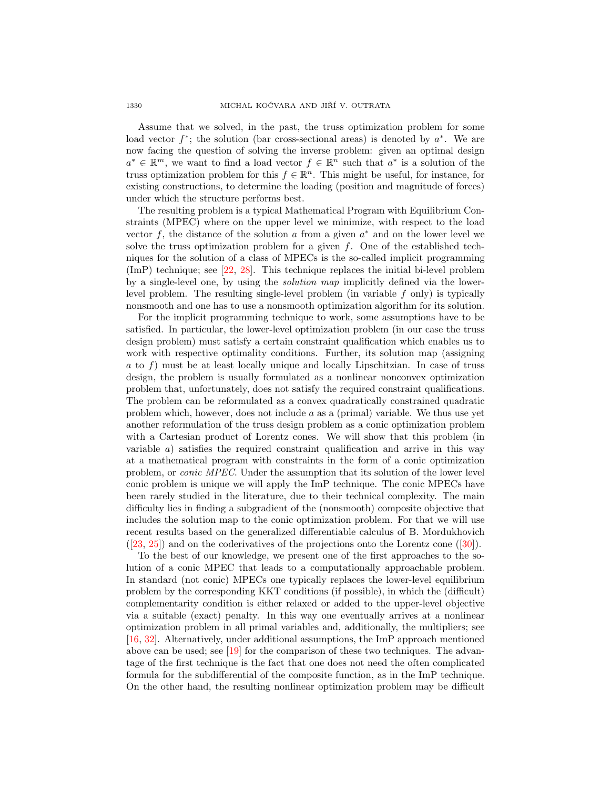Assume that we solved, in the past, the truss optimization problem for some load vector  $f^*$ ; the solution (bar cross-sectional areas) is denoted by  $a^*$ . We are now facing the question of solving the inverse problem: given an optimal design  $a^* \in \mathbb{R}^m$ , we want to find a load vector  $f \in \mathbb{R}^n$  such that  $a^*$  is a solution of the truss optimization problem for this  $f \in \mathbb{R}^n$ . This might be useful, for instance, for existing constructions, to determine the loading (position and magnitude of forces) under which the structure performs best.

The resulting problem is a typical Mathematical Program with Equilibrium Constraints (MPEC) where on the upper level we minimize, with respect to the load vector f, the distance of the solution  $a$  from a given  $a^*$  and on the lower level we solve the truss optimization problem for a given  $f$ . One of the established techniques for the solution of a class of MPECs is the so-called implicit programming (ImP) technique; see [\[22,](#page-21-1) [28\]](#page-21-2). This technique replaces the initial bi-level problem by a single-level one, by using the solution map implicitly defined via the lowerlevel problem. The resulting single-level problem (in variable  $f$  only) is typically nonsmooth and one has to use a nonsmooth optimization algorithm for its solution.

For the implicit programming technique to work, some assumptions have to be satisfied. In particular, the lower-level optimization problem (in our case the truss design problem) must satisfy a certain constraint qualification which enables us to work with respective optimality conditions. Further, its solution map (assigning a to f) must be at least locally unique and locally Lipschitzian. In case of truss design, the problem is usually formulated as a nonlinear nonconvex optimization problem that, unfortunately, does not satisfy the required constraint qualifications. The problem can be reformulated as a convex quadratically constrained quadratic problem which, however, does not include  $a$  as a (primal) variable. We thus use yet another reformulation of the truss design problem as a conic optimization problem with a Cartesian product of Lorentz cones. We will show that this problem (in variable  $a$ ) satisfies the required constraint qualification and arrive in this way at a mathematical program with constraints in the form of a conic optimization problem, or conic MPEC. Under the assumption that its solution of the lower level conic problem is unique we will apply the ImP technique. The conic MPECs have been rarely studied in the literature, due to their technical complexity. The main difficulty lies in finding a subgradient of the (nonsmooth) composite objective that includes the solution map to the conic optimization problem. For that we will use recent results based on the generalized differentiable calculus of B. Mordukhovich  $([23, 25])$  $([23, 25])$  $([23, 25])$  $([23, 25])$  $([23, 25])$ and on the coderivatives of the projections onto the Lorentz cone  $([30])$  $([30])$  $([30])$ .

To the best of our knowledge, we present one of the first approaches to the solution of a conic MPEC that leads to a computationally approachable problem. In standard (not conic) MPECs one typically replaces the lower-level equilibrium problem by the corresponding KKT conditions (if possible), in which the (difficult) complementarity condition is either relaxed or added to the upper-level objective via a suitable (exact) penalty. In this way one eventually arrives at a nonlinear optimization problem in all primal variables and, additionally, the multipliers; see [\[16,](#page-21-6) [32\]](#page-21-7). Alternatively, under additional assumptions, the ImP approach mentioned above can be used; see [\[19\]](#page-21-8) for the comparison of these two techniques. The advantage of the first technique is the fact that one does not need the often complicated formula for the subdifferential of the composite function, as in the ImP technique. On the other hand, the resulting nonlinear optimization problem may be difficult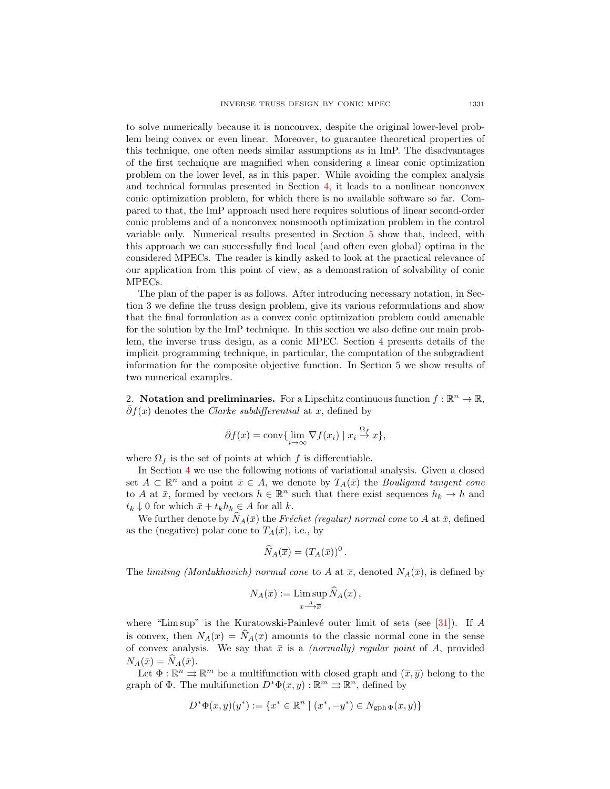to solve numerically because it is nonconvex, despite the original lower-level problem being convex or even linear. Moreover, to guarantee theoretical properties of this technique, one often needs similar assumptions as in ImP. The disadvantages of the first technique are magnified when considering a linear conic optimization problem on the lower level, as in this paper. While avoiding the complex analysis and technical formulas presented in Section [4,](#page-11-0) it leads to a nonlinear nonconvex conic optimization problem, for which there is no available software so far. Compared to that, the ImP approach used here requires solutions of linear second-order conic problems and of a nonconvex nonsmooth optimization problem in the control variable only. Numerical results presented in Section [5](#page-15-0) show that, indeed, with this approach we can successfully find local (and often even global) optima in the considered MPECs. The reader is kindly asked to look at the practical relevance of our application from this point of view, as a demonstration of solvability of conic MPECs.

The plan of the paper is as follows. After introducing necessary notation, in Section 3 we define the truss design problem, give its various reformulations and show that the final formulation as a convex conic optimization problem could amenable for the solution by the ImP technique. In this section we also define our main problem, the inverse truss design, as a conic MPEC. Section 4 presents details of the implicit programming technique, in particular, the computation of the subgradient information for the composite objective function. In Section 5 we show results of two numerical examples.

2. Notation and preliminaries. For a Lipschitz continuous function  $f : \mathbb{R}^n \to \mathbb{R}$ ,  $\bar{\partial}f(x)$  denotes the *Clarke subdifferential* at x, defined by

$$
\bar{\partial}f(x) = \text{conv}\{\lim_{i \to \infty} \nabla f(x_i) \mid x_i \stackrel{\Omega_f}{\to} x\},\
$$

where  $\Omega_f$  is the set of points at which f is differentiable.

In Section [4](#page-11-0) we use the following notions of variational analysis. Given a closed set  $A \subset \mathbb{R}^n$  and a point  $\bar{x} \in A$ , we denote by  $T_A(\bar{x})$  the *Bouligand tangent cone* to A at  $\bar{x}$ , formed by vectors  $h \in \mathbb{R}^n$  such that there exist sequences  $h_k \to h$  and  $t_k \downarrow 0$  for which  $\bar{x} + t_k h_k \in A$  for all k.

We further denote by  $N_A(\bar{x})$  the Fréchet (regular) normal cone to A at  $\bar{x}$ , defined as the (negative) polar cone to  $T_A(\bar{x})$ , i.e., by

$$
\widehat{N}_A(\overline{x})=(T_A(\overline{x}))^0.
$$

The limiting (Mordukhovich) normal cone to A at  $\bar{x}$ , denoted  $N_A(\bar{x})$ , is defined by

$$
N_A(\overline{x}) := \mathop{\limsup}_{x \to \overline{x}} \widehat{N}_A(x) ,
$$

where "Lim sup" is the Kuratowski-Painlevé outer limit of sets (see [\[31\]](#page-21-9)). If A is convex, then  $N_A(\overline{x}) = \widehat{N}_A(\overline{x})$  amounts to the classic normal cone in the sense of convex analysis. We say that  $\bar{x}$  is a *(normally) regular point* of A, provided  $N_A(\bar{x}) = \widehat{N}_A(\bar{x}).$ 

Let  $\Phi : \mathbb{R}^n \to \mathbb{R}^m$  be a multifunction with closed graph and  $(\overline{x}, \overline{y})$  belong to the graph of  $\Phi$ . The multifunction  $D^*\Phi(\overline{x}, \overline{y}) : \mathbb{R}^m \rightrightarrows \mathbb{R}^n$ , defined by

$$
D^*\Phi(\overline{x}, \overline{y})(y^*) := \{ x^* \in \mathbb{R}^n \mid (x^*, -y^*) \in N_{\operatorname{gph} \Phi}(\overline{x}, \overline{y}) \}
$$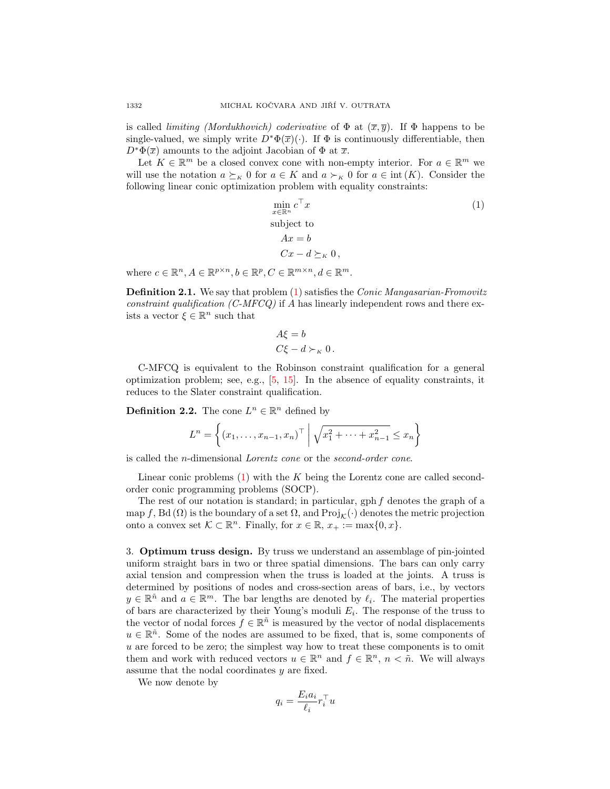is called *limiting (Mordukhovich)* coderivative of  $\Phi$  at  $(\overline{x}, \overline{y})$ . If  $\Phi$  happens to be single-valued, we simply write  $D^*\Phi(\overline{x})(\cdot)$ . If  $\Phi$  is continuously differentiable, then  $D^*\Phi(\overline{x})$  amounts to the adjoint Jacobian of  $\Phi$  at  $\overline{x}$ .

Let  $K \in \mathbb{R}^m$  be a closed convex cone with non-empty interior. For  $a \in \mathbb{R}^m$  we will use the notation  $a \succeq_K 0$  for  $a \in K$  and  $a \succ_K 0$  for  $a \in int(K)$ . Consider the following linear conic optimization problem with equality constraints:

<span id="page-3-0"></span>
$$
\min_{x \in \mathbb{R}^n} c^\top x
$$
\nsubject to\n
$$
Ax = b
$$
\n
$$
Cx - d \succeq_K 0,
$$
\n(1)

where  $c \in \mathbb{R}^n, A \in \mathbb{R}^{p \times n}, b \in \mathbb{R}^p, C \in \mathbb{R}^{m \times n}, d \in \mathbb{R}^m$ .

<span id="page-3-1"></span>Definition 2.1. We say that problem [\(1\)](#page-3-0) satisfies the Conic Mangasarian-Fromovitz constraint qualification  $(C-MFCQ)$  if A has linearly independent rows and there exists a vector  $\xi \in \mathbb{R}^n$  such that

$$
A\xi = b
$$
  

$$
C\xi - d \succ_{\kappa} 0.
$$

C-MFCQ is equivalent to the Robinson constraint qualification for a general optimization problem; see, e.g.,  $[5, 15]$  $[5, 15]$ . In the absence of equality constraints, it reduces to the Slater constraint qualification.

**Definition 2.2.** The cone  $L^n \in \mathbb{R}^n$  defined by

$$
L^n = \left\{ (x_1, \dots, x_{n-1}, x_n)^\top \middle| \sqrt{x_1^2 + \dots + x_{n-1}^2} \le x_n \right\}
$$

is called the n-dimensional Lorentz cone or the second-order cone.

Linear conic problems  $(1)$  with the K being the Lorentz cone are called secondorder conic programming problems (SOCP).

The rest of our notation is standard; in particular, gph  $f$  denotes the graph of a map f, Bd ( $\Omega$ ) is the boundary of a set  $\Omega$ , and  $\text{Proj}_{\mathcal{K}}(\cdot)$  denotes the metric projection onto a convex set  $\mathcal{K} \subset \mathbb{R}^n$ . Finally, for  $x \in \mathbb{R}$ ,  $x_+ := \max\{0, x\}.$ 

3. Optimum truss design. By truss we understand an assemblage of pin-jointed uniform straight bars in two or three spatial dimensions. The bars can only carry axial tension and compression when the truss is loaded at the joints. A truss is determined by positions of nodes and cross-section areas of bars, i.e., by vectors  $y \in \mathbb{R}^{\tilde{n}}$  and  $a \in \mathbb{R}^m$ . The bar lengths are denoted by  $\ell_i$ . The material properties of bars are characterized by their Young's moduli  $E_i$ . The response of the truss to the vector of nodal forces  $f \in \mathbb{R}^n$  is measured by the vector of nodal displacements  $u \in \mathbb{R}^n$ . Some of the nodes are assumed to be fixed, that is, some components of u are forced to be zero; the simplest way how to treat these components is to omit them and work with reduced vectors  $u \in \mathbb{R}^n$  and  $f \in \mathbb{R}^n$ ,  $n < \tilde{n}$ . We will always assume that the nodal coordinates y are fixed.

We now denote by

$$
q_i = \frac{E_i a_i}{\ell_i} r_i^{\top} u
$$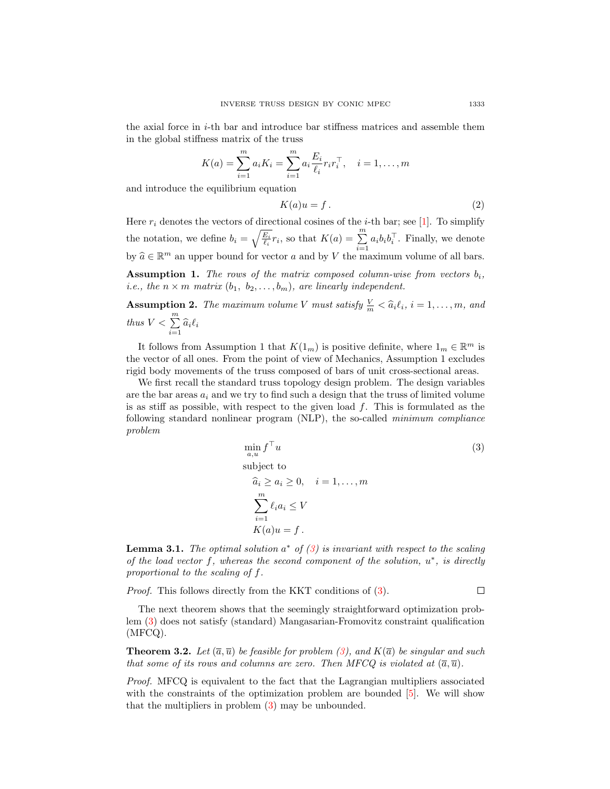the axial force in  $i$ -th bar and introduce bar stiffness matrices and assemble them in the global stiffness matrix of the truss

$$
K(a) = \sum_{i=1}^{m} a_i K_i = \sum_{i=1}^{m} a_i \frac{E_i}{\ell_i} r_i r_i^{\top}, \quad i = 1, \dots, m
$$

and introduce the equilibrium equation

$$
K(a)u = f.
$$
 (2)

Here  $r_i$  denotes the vectors of directional cosines of the *i*-th bar; see [\[1\]](#page-20-0). To simplify the notation, we define  $b_i = \sqrt{\frac{E_i}{\ell_i}} r_i$ , so that  $K(a) = \sum_{i=1}^{m}$  $\sum_{i=1} a_i b_i b_i^{\top}$ . Finally, we denote by  $\widehat{a} \in \mathbb{R}^m$  an upper bound for vector a and by V the maximum volume of all bars.

**Assumption 1.** The rows of the matrix composed column-wise from vectors  $b_i$ , *i.e.*, the  $n \times m$  matrix  $(b_1, b_2, \ldots, b_m)$ , are linearly independent.

**Assumption 2.** The maximum volume V must satisfy  $\frac{V}{m} < \hat{a}_i \ell_i$ ,  $i = 1, ..., m$ , and thus  $V < \sum_{i=1}^{m}$  $\sum_{i=1} \widehat{a}_i \ell_i$ 

It follows from Assumption 1 that  $K(1_m)$  is positive definite, where  $1_m \in \mathbb{R}^m$  is the vector of all ones. From the point of view of Mechanics, Assumption 1 excludes rigid body movements of the truss composed of bars of unit cross-sectional areas.

We first recall the standard truss topology design problem. The design variables are the bar areas  $a_i$  and we try to find such a design that the truss of limited volume is as stiff as possible, with respect to the given load  $f$ . This is formulated as the following standard nonlinear program (NLP), the so-called minimum compliance problem

$$
\min_{a,u} f^{\top} u
$$
\nsubject to\n
$$
\widehat{a}_i \ge a_i \ge 0, \quad i = 1, ..., m
$$
\n
$$
\sum_{i=1}^m \ell_i a_i \le V
$$
\n
$$
K(a)u = f.
$$
\n(3)

<span id="page-4-1"></span>**Lemma 3.1.** The optimal solution  $a^*$  of  $(3)$  is invariant with respect to the scaling of the load vector  $f$ , whereas the second component of the solution,  $u^*$ , is directly proportional to the scaling of f.

Proof. This follows directly from the KKT conditions of [\(3\)](#page-4-0).

<span id="page-4-0"></span> $\Box$ 

The next theorem shows that the seemingly straightforward optimization problem [\(3\)](#page-4-0) does not satisfy (standard) Mangasarian-Fromovitz constraint qualification (MFCQ).

**Theorem 3.2.** Let  $(\overline{a}, \overline{u})$  be feasible for problem [\(3\)](#page-4-0), and  $K(\overline{a})$  be singular and such that some of its rows and columns are zero. Then MFCQ is violated at  $(\overline{a}, \overline{u})$ .

Proof. MFCQ is equivalent to the fact that the Lagrangian multipliers associated with the constraints of the optimization problem are bounded  $[5]$ . We will show that the multipliers in problem [\(3\)](#page-4-0) may be unbounded.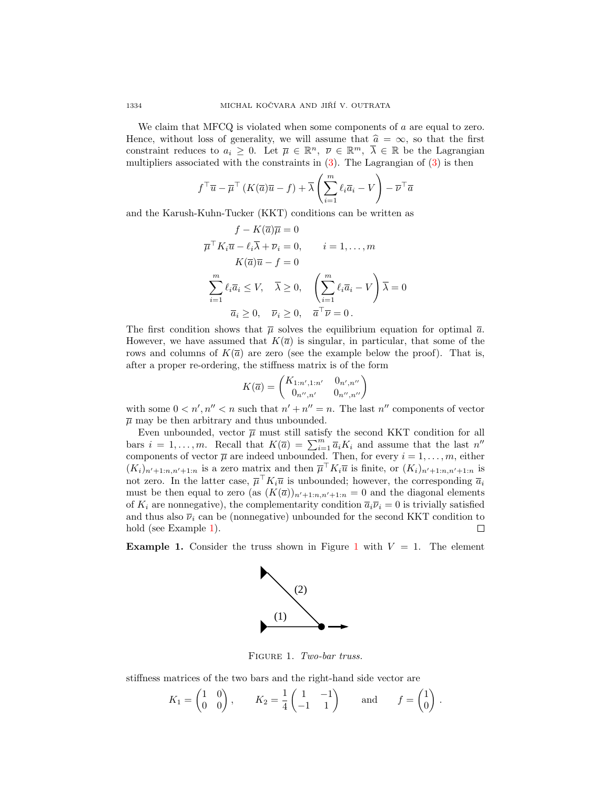We claim that MFCQ is violated when some components of  $a$  are equal to zero. Hence, without loss of generality, we will assume that  $\hat{a} = \infty$ , so that the first constraint reduces to  $a_i \geq 0$ . Let  $\overline{\mu} \in \mathbb{R}^n$ ,  $\overline{\nu} \in \mathbb{R}^m$ ,  $\overline{\lambda} \in \mathbb{R}$  be the Lagrangian multipliers associated with the constraints in  $(3)$ . The Lagrangian of  $(3)$  is then

$$
f^{\top} \overline{u} - \overline{\mu}^{\top} (K(\overline{a})\overline{u} - f) + \overline{\lambda} \left( \sum_{i=1}^{m} \ell_{i} \overline{a}_{i} - V \right) - \overline{\nu}^{\top} \overline{a}
$$

and the Karush-Kuhn-Tucker (KKT) conditions can be written as

$$
f - K(\overline{a})\overline{\mu} = 0
$$
  
\n
$$
\overline{\mu}^{\top} K_i \overline{u} - \ell_i \overline{\lambda} + \overline{\nu}_i = 0, \qquad i = 1, ..., m
$$
  
\n
$$
K(\overline{a})\overline{u} - f = 0
$$
  
\n
$$
\sum_{i=1}^{m} \ell_i \overline{a}_i \le V, \quad \overline{\lambda} \ge 0, \quad \left(\sum_{i=1}^{m} \ell_i \overline{a}_i - V\right) \overline{\lambda} = 0
$$
  
\n
$$
\overline{a}_i \ge 0, \quad \overline{\nu}_i \ge 0, \quad \overline{a}^{\top} \overline{\nu} = 0.
$$

The first condition shows that  $\bar{\mu}$  solves the equilibrium equation for optimal  $\bar{a}$ . However, we have assumed that  $K(\bar{a})$  is singular, in particular, that some of the rows and columns of  $K(\bar{a})$  are zero (see the example below the proof). That is, after a proper re-ordering, the stiffness matrix is of the form

$$
K(\overline{a}) = \begin{pmatrix} K_{1:n',1:n'} & 0_{n',n''} \\ 0_{n'',n'} & 0_{n'',n''} \end{pmatrix}
$$

with some  $0 < n', n'' < n$  such that  $n' + n'' = n$ . The last  $n''$  components of vector  $\overline{\mu}$  may be then arbitrary and thus unbounded.

Even unbounded, vector  $\overline{\mu}$  must still satisfy the second KKT condition for all bars  $i = 1, ..., m$ . Recall that  $K(\overline{a}) = \sum_{i=1}^{m} \overline{a}_i K_i$  and assume that the last  $n''$ components of vector  $\overline{\mu}$  are indeed unbounded. Then, for every  $i = 1, \ldots, m$ , either  $(K_i)_{n'+1:n,n'+1:n}$  is a zero matrix and then  $\overline{\mu}^{\top} K_i \overline{u}$  is finite, or  $(K_i)_{n'+1:n,n'+1:n}$  is not zero. In the latter case,  $\overline{\mu}^T K_i \overline{u}$  is unbounded; however, the corresponding  $\overline{a}_i$ must be then equal to zero (as  $(K(\overline{a}))_{n'+1:n,n'+1:n} = 0$  and the diagonal elements of  $K_i$  are nonnegative), the complementarity condition  $\overline{a}_i \overline{\nu}_i = 0$  is trivially satisfied and thus also  $\bar{\nu}_i$  can be (nonnegative) unbounded for the second KKT condition to hold (see Example [1\)](#page-5-0).  $\Box$ 

<span id="page-5-0"></span>**Example [1](#page-5-1).** Consider the truss shown in Figure 1 with  $V = 1$ . The element



<span id="page-5-1"></span>FIGURE 1. Two-bar truss.

stiffness matrices of the two bars and the right-hand side vector are

$$
K_1 = \begin{pmatrix} 1 & 0 \\ 0 & 0 \end{pmatrix}
$$
,  $K_2 = \frac{1}{4} \begin{pmatrix} 1 & -1 \\ -1 & 1 \end{pmatrix}$  and  $f = \begin{pmatrix} 1 \\ 0 \end{pmatrix}$ .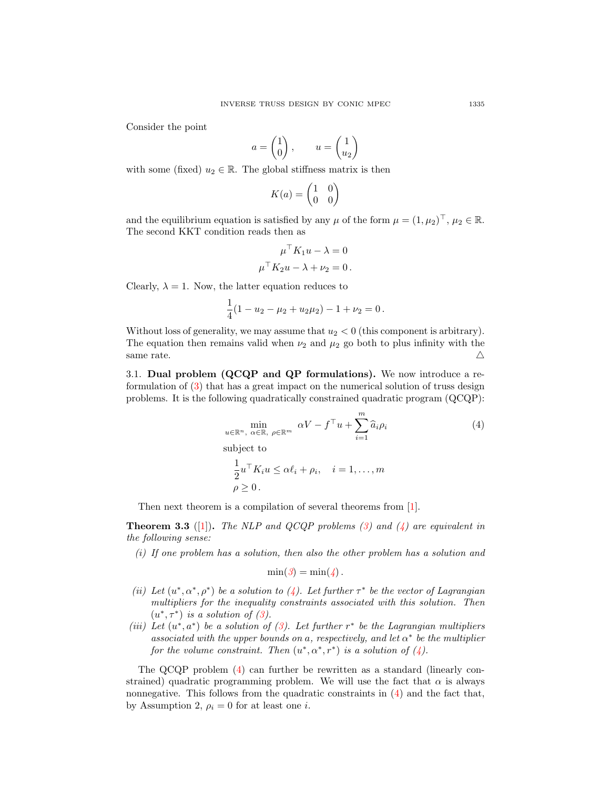Consider the point

$$
a = \begin{pmatrix} 1 \\ 0 \end{pmatrix}, \qquad u = \begin{pmatrix} 1 \\ u_2 \end{pmatrix}
$$

with some (fixed)  $u_2 \in \mathbb{R}$ . The global stiffness matrix is then

$$
K(a) = \begin{pmatrix} 1 & 0 \\ 0 & 0 \end{pmatrix}
$$

and the equilibrium equation is satisfied by any  $\mu$  of the form  $\mu = (1, \mu_2)^\top, \mu_2 \in \mathbb{R}$ . The second KKT condition reads then as

$$
\mu^{\top} K_1 u - \lambda = 0
$$

$$
\mu^{\top} K_2 u - \lambda + \nu_2 = 0.
$$

Clearly,  $\lambda = 1$ . Now, the latter equation reduces to

$$
\frac{1}{4}(1 - u_2 - \mu_2 + u_2\mu_2) - 1 + \nu_2 = 0.
$$

Without loss of generality, we may assume that  $u_2 < 0$  (this component is arbitrary). The equation then remains valid when  $\nu_2$  and  $\mu_2$  go both to plus infinity with the same rate.  $\triangle$ 

3.1. Dual problem (QCQP and QP formulations). We now introduce a reformulation of [\(3\)](#page-4-0) that has a great impact on the numerical solution of truss design problems. It is the following quadratically constrained quadratic program (QCQP):

<span id="page-6-0"></span>
$$
\min_{u \in \mathbb{R}^n, \alpha \in \mathbb{R}, \rho \in \mathbb{R}^m} \alpha V - f^{\top} u + \sum_{i=1}^m \hat{a}_i \rho_i
$$
\nsubject to

\n
$$
\frac{1}{2} u^{\top} K_i u \leq \alpha \ell_i + \rho_i, \quad i = 1, \dots, m
$$
\n
$$
\rho \geq 0.
$$
\n(4)

Then next theorem is a compilation of several theorems from [\[1\]](#page-20-0).

**Theorem 3.3** ([\[1\]](#page-20-0)). The NLP and QCQP problems [\(3\)](#page-4-0) and [\(4\)](#page-6-0) are equivalent in the following sense:

(i) If one problem has a solution, then also the other problem has a solution and

$$
\min(3) = \min(4).
$$

- (ii) Let  $(u^*, \alpha^*, \rho^*)$  be a solution to [\(4\)](#page-6-0). Let further  $\tau^*$  be the vector of Lagrangian multipliers for the inequality constraints associated with this solution. Then  $(u^*, \tau^*)$  is a solution of  $(3)$ .
- (iii) Let  $(u^*, a^*)$  be a solution of [\(3\)](#page-4-0). Let further  $r^*$  be the Lagrangian multipliers associated with the upper bounds on a, respectively, and let  $\alpha^*$  be the multiplier for the volume constraint. Then  $(u^*, \alpha^*, r^*)$  is a solution of  $(4)$ .

The QCQP problem [\(4\)](#page-6-0) can further be rewritten as a standard (linearly constrained) quadratic programming problem. We will use the fact that  $\alpha$  is always nonnegative. This follows from the quadratic constraints in [\(4\)](#page-6-0) and the fact that, by Assumption 2,  $\rho_i = 0$  for at least one *i*.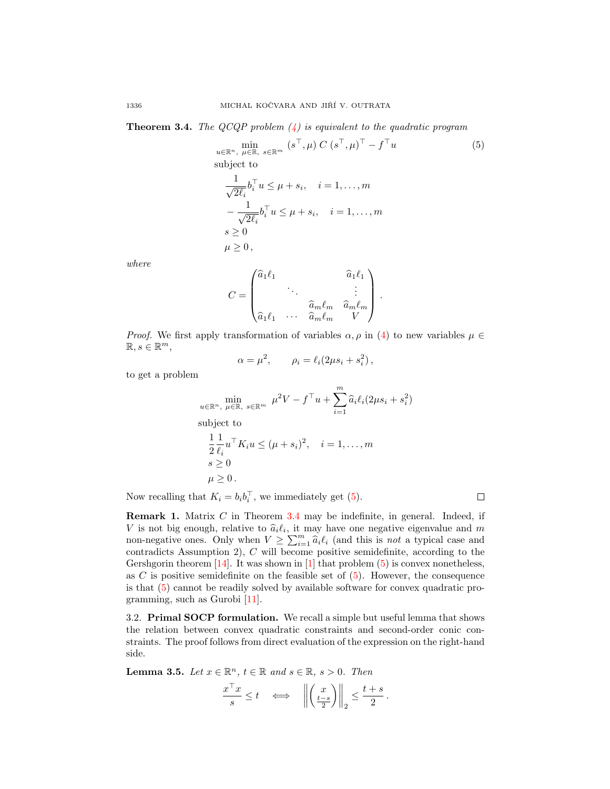<span id="page-7-1"></span>**Theorem 3.4.** The QCQP problem  $\langle 4 \rangle$  is equivalent to the quadratic program

<span id="page-7-0"></span>
$$
\min_{u \in \mathbb{R}^n, \mu \in \mathbb{R}, s \in \mathbb{R}^m} (s^\top, \mu) C (s^\top, \mu)^\top - f^\top u
$$
\n(5)

\nsubject to

\n
$$
\frac{1}{\sqrt{2\ell_i}} b_i^\top u \leq \mu + s_i, \quad i = 1, \dots, m
$$
\n
$$
-\frac{1}{\sqrt{2\ell_i}} b_i^\top u \leq \mu + s_i, \quad i = 1, \dots, m
$$
\n
$$
s \geq 0
$$
\n
$$
\mu \geq 0,
$$

where

$$
C = \begin{pmatrix} \hat{a}_1 \ell_1 & & & & \hat{a}_1 \ell_1 \\ & \ddots & & & \vdots \\ & & \hat{a}_m \ell_m & \hat{a}_m \ell_m \\ \hat{a}_1 \ell_1 & \cdots & \hat{a}_m \ell_m & V \end{pmatrix}.
$$

*Proof.* We first apply transformation of variables  $\alpha, \rho$  in [\(4\)](#page-6-0) to new variables  $\mu \in$  $\mathbb{R}, s \in \mathbb{R}^m$ ,

$$
\alpha = \mu^2, \qquad \rho_i = \ell_i (2\mu s_i + s_i^2),
$$

to get a problem

$$
\min_{u \in \mathbb{R}^n, \mu \in \mathbb{R}, \ s \in \mathbb{R}^m} \mu^2 V - f^\top u + \sum_{i=1}^m \hat{a}_i \ell_i (2\mu s_i + s_i^2)
$$
\nsubject to\n
$$
\frac{1}{2} \frac{1}{\ell_i} u^\top K_i u \leq (\mu + s_i)^2, \quad i = 1, \dots, m
$$
\n
$$
s \geq 0
$$
\n
$$
\mu \geq 0.
$$

Now recalling that  $K_i = b_i b_i^{\top}$ , we immediately get [\(5\)](#page-7-0).

 $\Box$ 

**Remark 1.** Matrix  $C$  in Theorem [3.4](#page-7-1) may be indefinite, in general. Indeed, if V is not big enough, relative to  $\hat{a}_i \ell_i$ , it may have one negative eigenvalue and m<br>non-negative energy Oply when  $V \ge \sum_{i=1}^m \hat{a}_i \ell_i$  (and this is not a typical esses and non-negative ones. Only when  $V \ge \sum_{i=1}^{m} \hat{a}_i \ell_i$  (and this is not a typical case and contradicts  $\Lambda$  cumption 2).  $C$  will become positive comidefinite, according to the contradicts Assumption 2), C will become positive semidefinite, according to the Gershgorin theorem  $[14]$ . It was shown in  $[1]$  that problem  $(5)$  is convex nonetheless, as  $C$  is positive semidefinite on the feasible set of  $(5)$ . However, the consequence is that [\(5\)](#page-7-0) cannot be readily solved by available software for convex quadratic programming, such as Gurobi [\[11\]](#page-20-5).

3.2. Primal SOCP formulation. We recall a simple but useful lemma that shows the relation between convex quadratic constraints and second-order conic constraints. The proof follows from direct evaluation of the expression on the right-hand side.

<span id="page-7-2"></span>**Lemma 3.5.** Let  $x \in \mathbb{R}^n$ ,  $t \in \mathbb{R}$  and  $s \in \mathbb{R}$ ,  $s > 0$ . Then

$$
\frac{x^{\top}x}{s} \le t \quad \Longleftrightarrow \quad \left\| \left( \frac{x}{\frac{t-s}{2}} \right) \right\|_2 \le \frac{t+s}{2}.
$$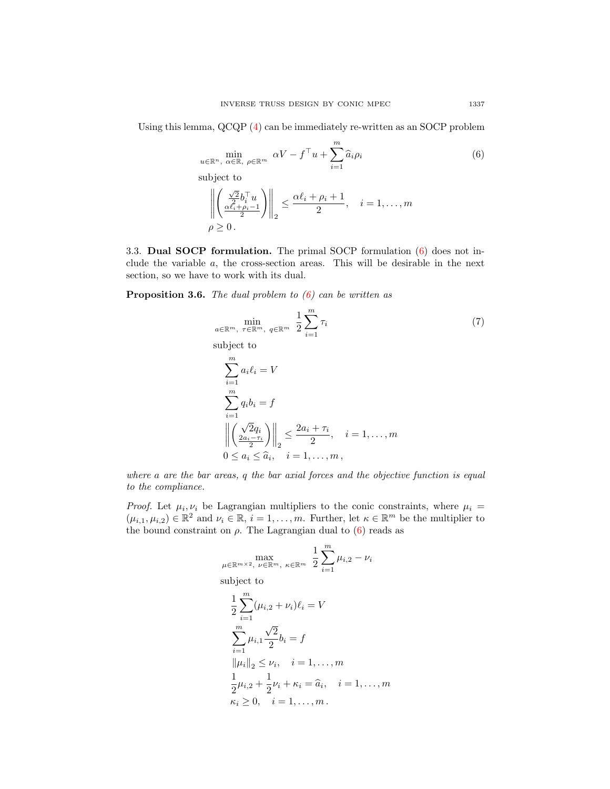Using this lemma, QCQP [\(4\)](#page-6-0) can be immediately re-written as an SOCP problem

<span id="page-8-0"></span>
$$
\min_{u \in \mathbb{R}^n, \alpha \in \mathbb{R}, \rho \in \mathbb{R}^m} \alpha V - f^\top u + \sum_{i=1}^m \hat{a}_i \rho_i
$$
\nsubject to

\n
$$
\left\| \left( \frac{\sqrt{2}}{2} b_i^\top u \right) \right\|_2 \leq \frac{\alpha \ell_i + \rho_i + 1}{2}, \quad i = 1, \dots, m
$$
\n
$$
\rho \geq 0.
$$
\n
$$
(6)
$$

3.3. Dual SOCP formulation. The primal SOCP formulation [\(6\)](#page-8-0) does not include the variable a, the cross-section areas. This will be desirable in the next section, so we have to work with its dual.

<span id="page-8-2"></span>**Proposition 3.6.** The dual problem to  $(6)$  can be written as

$$
\min_{a \in \mathbb{R}^m, \ \tau \in \mathbb{R}^m, \ q \in \mathbb{R}^m} \frac{1}{2} \sum_{i=1}^m \tau_i
$$
\nsubject to

\n
$$
\sum_{i=1}^m a_i \ell_i = V
$$
\n(7)

<span id="page-8-1"></span>
$$
\sum_{i=1}^{m} q_i b_i = f
$$
\n
$$
\left\| \begin{pmatrix} \sqrt{2}q_i \\ \frac{2a_i - \tau_i}{2} \end{pmatrix} \right\|_2 \le \frac{2a_i + \tau_i}{2}, \quad i = 1, \dots, m
$$
\n
$$
0 \le a_i \le \widehat{a}_i, \quad i = 1, \dots, m
$$

where a are the bar areas, q the bar axial forces and the objective function is equal to the compliance.

*Proof.* Let  $\mu_i, \nu_i$  be Lagrangian multipliers to the conic constraints, where  $\mu_i =$  $(\mu_{i,1}, \mu_{i,2}) \in \mathbb{R}^2$  and  $\nu_i \in \mathbb{R}, i = 1, \ldots, m$ . Further, let  $\kappa \in \mathbb{R}^m$  be the multiplier to the bound constraint on  $\rho$ . The Lagrangian dual to [\(6\)](#page-8-0) reads as

$$
\max_{\mu \in \mathbb{R}^{m \times 2}, \ \nu \in \mathbb{R}^m, \ \kappa \in \mathbb{R}^m} \frac{1}{2} \sum_{i=1}^m \mu_{i,2} - \nu_i
$$
subject to

$$
\frac{1}{2} \sum_{i=1}^{m} (\mu_{i,2} + \nu_i)\ell_i = V
$$
\n
$$
\sum_{i=1}^{m} \mu_{i,1} \frac{\sqrt{2}}{2} b_i = f
$$
\n
$$
\|\mu_i\|_2 \le \nu_i, \quad i = 1, ..., m
$$
\n
$$
\frac{1}{2} \mu_{i,2} + \frac{1}{2} \nu_i + \kappa_i = \widehat{a}_i, \quad i = 1, ..., m
$$
\n
$$
\kappa_i \ge 0, \quad i = 1, ..., m.
$$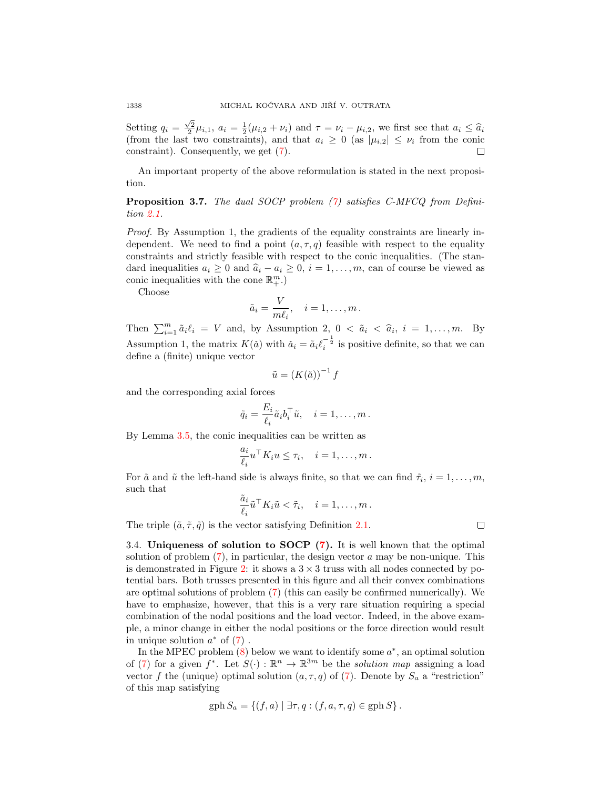Setting  $q_i = \frac{\sqrt{2}}{2} \mu_{i,1}$ ,  $a_i = \frac{1}{2} (\mu_{i,2} + \nu_i)$  and  $\tau = \nu_i - \mu_{i,2}$ , we first see that  $a_i \leq \hat{a}_i$  (from the last two constraints), and that  $a_i \geq 0$  (as  $|\mu_{i,2}| \leq \nu_i$  from the conic constraint). Consequently, we get [\(7\)](#page-8-1). П

An important property of the above reformulation is stated in the next proposition.

Proposition 3.7. The dual SOCP problem [\(7\)](#page-8-1) satisfies C-MFCQ from Definition [2.1.](#page-3-1)

Proof. By Assumption 1, the gradients of the equality constraints are linearly independent. We need to find a point  $(a, \tau, q)$  feasible with respect to the equality constraints and strictly feasible with respect to the conic inequalities. (The standard inequalities  $a_i \geq 0$  and  $\hat{a}_i - a_i \geq 0$ ,  $i = 1, ..., m$ , can of course be viewed as conic inequalities with the cone  $\mathbb{R}^m_+$ .)

Choose

$$
\tilde{a}_i = \frac{V}{m\ell_i}, \quad i = 1, \dots, m.
$$

Then  $\sum_{i=1}^{m} \tilde{a}_i \ell_i = V$  and, by Assumption 2,  $0 < \tilde{a}_i < \hat{a}_i, i = 1, ..., m$ . By Assumption 1, the matrix  $K(\check{a})$  with  $\check{a}_i = \tilde{a}_i \ell_i^{-\frac{1}{2}}$  is positive definite, so that we can define a (finite) unique vector

$$
\tilde{u} = (K(\check{a}))^{-1} f
$$

and the corresponding axial forces

$$
\tilde{q}_i = \frac{E_i}{\ell_i} \tilde{a}_i b_i^\top \tilde{u}, \quad i = 1, \dots, m.
$$

By Lemma [3.5,](#page-7-2) the conic inequalities can be written as

$$
\frac{a_i}{\ell_i} u^\top K_i u \leq \tau_i, \quad i = 1, \dots, m \, .
$$

For  $\tilde{a}$  and  $\tilde{u}$  the left-hand side is always finite, so that we can find  $\tilde{\tau}_i$ ,  $i = 1, \ldots, m$ , such that

$$
\frac{\tilde{a}_i}{\ell_i} \tilde{u}^\top K_i \tilde{u} < \tilde{\tau}_i, \quad i = 1, \dots, m \, .
$$

The triple  $(\tilde{a}, \tilde{\tau}, \tilde{q})$  is the vector satisfying Definition [2.1.](#page-3-1)

3.4. Uniqueness of solution to SOCP [\(7\)](#page-8-1). It is well known that the optimal solution of problem  $(7)$ , in particular, the design vector a may be non-unique. This is demonstrated in Figure [2:](#page-10-0) it shows a  $3 \times 3$  truss with all nodes connected by potential bars. Both trusses presented in this figure and all their convex combinations are optimal solutions of problem [\(7\)](#page-8-1) (this can easily be confirmed numerically). We have to emphasize, however, that this is a very rare situation requiring a special combination of the nodal positions and the load vector. Indeed, in the above example, a minor change in either the nodal positions or the force direction would result in unique solution  $a^*$  of  $(7)$ .

In the MPEC problem  $(8)$  below we want to identify some  $a^*$ , an optimal solution of [\(7\)](#page-8-1) for a given  $f^*$ . Let  $S(\cdot): \mathbb{R}^n \to \mathbb{R}^{3m}$  be the *solution map* assigning a load vector f the (unique) optimal solution  $(a, \tau, q)$  of [\(7\)](#page-8-1). Denote by  $S_a$  a "restriction" of this map satisfying

$$
gph S_a = \{(f, a) | \exists \tau, q : (f, a, \tau, q) \in gph S\}.
$$

 $\Box$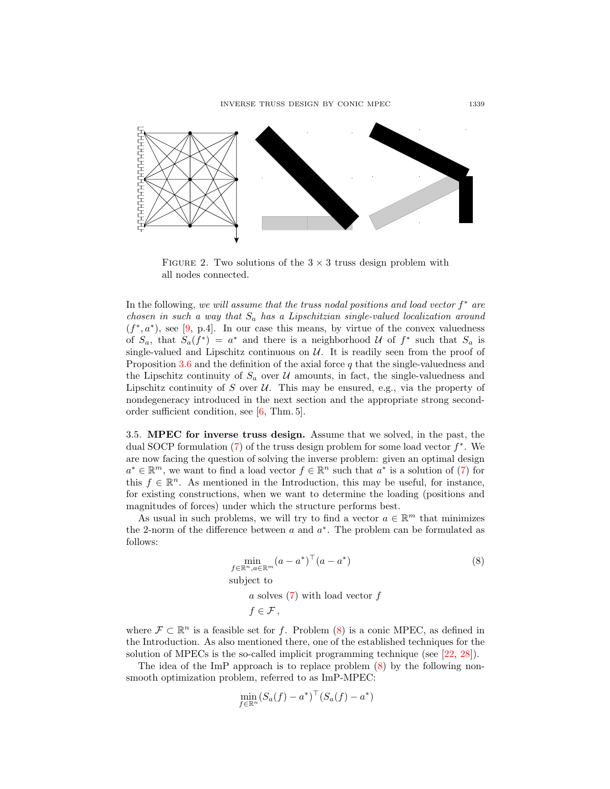

<span id="page-10-0"></span>FIGURE 2. Two solutions of the  $3 \times 3$  truss design problem with all nodes connected.

In the following, we will assume that the truss nodal positions and load vector  $f^*$  are chosen in such a way that  $S_a$  has a Lipschitzian single-valued localization around  $(f^*, a^*)$ , see [\[9,](#page-20-6) p.4]. In our case this means, by virtue of the convex valuedness of  $S_a$ , that  $S_a(f^*) = a^*$  and there is a neighborhood U of  $f^*$  such that  $S_a$  is single-valued and Lipschitz continuous on  $U$ . It is readily seen from the proof of Proposition [3.6](#page-8-2) and the definition of the axial force  $q$  that the single-valuedness and the Lipschitz continuity of  $S_a$  over  $\mathcal U$  amounts, in fact, the single-valuedness and Lipschitz continuity of S over  $\mathcal U$ . This may be ensured, e.g., via the property of nondegeneracy introduced in the next section and the appropriate strong secondorder sufficient condition, see [\[6,](#page-20-7) Thm. 5].

3.5. MPEC for inverse truss design. Assume that we solved, in the past, the dual SOCP formulation  $(7)$  of the truss design problem for some load vector  $f^*$ . We are now facing the question of solving the inverse problem: given an optimal design  $a^* \in \mathbb{R}^m$ , we want to find a load vector  $f \in \mathbb{R}^n$  such that  $a^*$  is a solution of [\(7\)](#page-8-1) for this  $f \in \mathbb{R}^n$ . As mentioned in the Introduction, this may be useful, for instance, for existing constructions, when we want to determine the loading (positions and magnitudes of forces) under which the structure performs best.

As usual in such problems, we will try to find a vector  $a \in \mathbb{R}^m$  that minimizes the 2-norm of the difference between  $a$  and  $a^*$ . The problem can be formulated as follows:

$$
\min_{f \in \mathbb{R}^n, a \in \mathbb{R}^m} (a - a^*)^\top (a - a^*)
$$
\nsubject to

\n
$$
(8)
$$

<span id="page-10-1"></span>a solves  $(7)$  with load vector f

$$
f\in\mathcal{F}\,,
$$

where  $\mathcal{F} \subset \mathbb{R}^n$  is a feasible set for f. Problem [\(8\)](#page-10-1) is a conic MPEC, as defined in the Introduction. As also mentioned there, one of the established techniques for the solution of MPECs is the so-called implicit programming technique (see [\[22,](#page-21-1) [28\]](#page-21-2)).

The idea of the ImP approach is to replace problem [\(8\)](#page-10-1) by the following nonsmooth optimization problem, referred to as ImP-MPEC:

$$
\min_{f \in \mathbb{R}^n} (S_a(f) - a^*)^\top (S_a(f) - a^*)
$$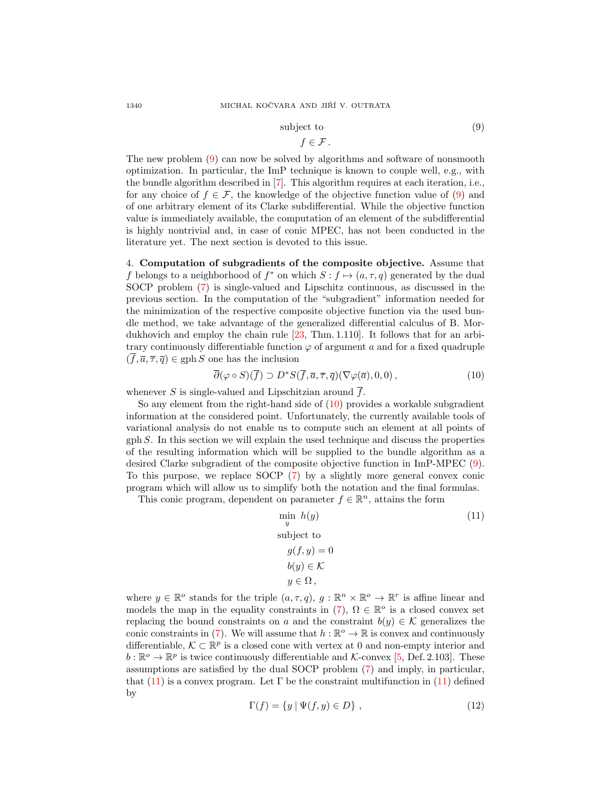### subject to  $(9)$

<span id="page-11-1"></span>
$$
f\in\mathcal{F}.
$$

The new problem [\(9\)](#page-11-1) can now be solved by algorithms and software of nonsmooth optimization. In particular, the ImP technique is known to couple well, e.g., with the bundle algorithm described in [\[7\]](#page-20-8). This algorithm requires at each iteration, i.e., for any choice of  $f \in \mathcal{F}$ , the knowledge of the objective function value of [\(9\)](#page-11-1) and of one arbitrary element of its Clarke subdifferential. While the objective function value is immediately available, the computation of an element of the subdifferential is highly nontrivial and, in case of conic MPEC, has not been conducted in the literature yet. The next section is devoted to this issue.

<span id="page-11-0"></span>4. Computation of subgradients of the composite objective. Assume that f belongs to a neighborhood of  $f^*$  on which  $S: f \mapsto (a, \tau, q)$  generated by the dual SOCP problem [\(7\)](#page-8-1) is single-valued and Lipschitz continuous, as discussed in the previous section. In the computation of the "subgradient" information needed for the minimization of the respective composite objective function via the used bundle method, we take advantage of the generalized differential calculus of B. Mordukhovich and employ the chain rule [\[23,](#page-21-3) Thm. 1.110]. It follows that for an arbitrary continuously differentiable function  $\varphi$  of argument a and for a fixed quadruple  $(\overline{f}, \overline{a}, \overline{\tau}, \overline{q}) \in \text{gph } S$  one has the inclusion

<span id="page-11-2"></span>
$$
\overline{\partial}(\varphi \circ S)(\overline{f}) \supset D^*S(\overline{f}, \overline{a}, \overline{\tau}, \overline{q})(\nabla \varphi(\overline{a}), 0, 0), \qquad (10)
$$

whenever S is single-valued and Lipschitzian around  $\overline{f}$ .

So any element from the right-hand side of  $(10)$  provides a workable subgradient information at the considered point. Unfortunately, the currently available tools of variational analysis do not enable us to compute such an element at all points of gph S. In this section we will explain the used technique and discuss the properties of the resulting information which will be supplied to the bundle algorithm as a desired Clarke subgradient of the composite objective function in ImP-MPEC [\(9\)](#page-11-1). To this purpose, we replace SOCP [\(7\)](#page-8-1) by a slightly more general convex conic program which will allow us to simplify both the notation and the final formulas.

This conic program, dependent on parameter  $f \in \mathbb{R}^n$ , attains the form

<span id="page-11-3"></span>
$$
\min_{y} h(y)
$$
  
subject to  

$$
g(f, y) = 0
$$

$$
b(y) \in \mathcal{K}
$$

$$
y \in \Omega,
$$

where  $y \in \mathbb{R}^{\circ}$  stands for the triple  $(a, \tau, q)$ ,  $g : \mathbb{R}^n \times \mathbb{R}^{\circ} \to \mathbb{R}^r$  is affine linear and models the map in the equality constraints in [\(7\)](#page-8-1),  $\Omega \in \mathbb{R}^{\circ}$  is a closed convex set replacing the bound constraints on a and the constraint  $b(y) \in \mathcal{K}$  generalizes the conic constraints in [\(7\)](#page-8-1). We will assume that  $h : \mathbb{R}^o \to \mathbb{R}$  is convex and continuously differentiable,  $\mathcal{K} \subset \mathbb{R}^p$  is a closed cone with vertex at 0 and non-empty interior and  $b: \mathbb{R}^o \to \mathbb{R}^p$  is twice continuously differentiable and K-convex [\[5,](#page-20-2) Def. 2.103]. These assumptions are satisfied by the dual SOCP problem [\(7\)](#page-8-1) and imply, in particular, that [\(11\)](#page-11-3) is a convex program. Let  $\Gamma$  be the constraint multifunction in (11) defined by

<span id="page-11-4"></span>
$$
\Gamma(f) = \{ y \mid \Psi(f, y) \in D \}, \qquad (12)
$$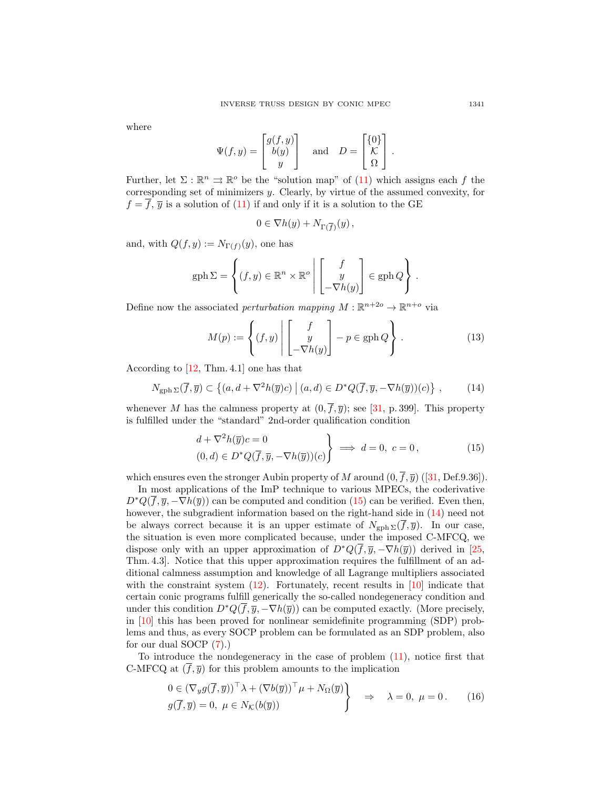where

$$
\Psi(f, y) = \begin{bmatrix} g(f, y) \\ b(y) \\ y \end{bmatrix} \quad \text{and} \quad D = \begin{bmatrix} \{0\} \\ \mathcal{K} \\ \Omega \end{bmatrix}.
$$

Further, let  $\Sigma : \mathbb{R}^n \rightrightarrows \mathbb{R}^o$  be the "solution map" of [\(11\)](#page-11-3) which assigns each f the corresponding set of minimizers y. Clearly, by virtue of the assumed convexity, for  $f = \overline{f}$ ,  $\overline{y}$  is a solution of [\(11\)](#page-11-3) if and only if it is a solution to the GE

$$
0\in \nabla h(y)+N_{\Gamma(\overline{f})}(y)\,,
$$

and, with  $Q(f, y) := N_{\Gamma(f)}(y)$ , one has

$$
\text{gph}\,\Sigma = \left\{ (f, y) \in \mathbb{R}^n \times \mathbb{R}^o \middle| \begin{bmatrix} f \\ y \\ -\nabla h(y) \end{bmatrix} \in \text{gph}\,Q \right\}.
$$

Define now the associated *perturbation mapping*  $M : \mathbb{R}^{n+2o} \to \mathbb{R}^{n+o}$  via

<span id="page-12-3"></span>
$$
M(p) := \left\{ (f, y) \middle| \begin{bmatrix} f \\ y \\ -\nabla h(y) \end{bmatrix} - p \in \text{gph } Q \right\}.
$$
 (13)

According to [\[12,](#page-20-9) Thm. 4.1] one has that

<span id="page-12-1"></span>
$$
N_{\text{gph}\,\Sigma}(\overline{f},\overline{y}) \subset \left\{ (a,d+\nabla^2 h(\overline{y})c) \mid (a,d) \in D^*Q(\overline{f},\overline{y},-\nabla h(\overline{y}))(c) \right\} \,,\tag{14}
$$

whenever M has the calmness property at  $(0, \overline{f}, \overline{y})$ ; see [\[31,](#page-21-9) p. 399]. This property is fulfilled under the "standard" 2nd-order qualification condition

<span id="page-12-0"></span>
$$
\left\{\n\begin{aligned}\nd + \nabla^2 h(\overline{y})c &= 0 \\
(0, d) &\in D^* Q(\overline{f}, \overline{y}, -\nabla h(\overline{y}))(c)\n\end{aligned}\n\right\}\n\implies d = 0, \ c = 0,\n\tag{15}
$$

whichensures even the stronger Aubin property of M around  $(0, \overline{f}, \overline{y})$  ([\[31,](#page-21-9) Def.9.36]).

In most applications of the ImP technique to various MPECs, the coderivative  $D^*Q(\bar{f}, \bar{y}, -\nabla h(\bar{y}))$  can be computed and condition [\(15\)](#page-12-0) can be verified. Even then, however, the subgradient information based on the right-hand side in  $(14)$  need not be always correct because it is an upper estimate of  $N_{\text{gph}} \Sigma(\overline{f}, \overline{y})$ . In our case, the situation is even more complicated because, under the imposed C-MFCQ, we dispose only with an upper approximation of  $D^*Q(\bar{f}, \bar{y}, -\nabla h(\bar{y}))$  derived in [\[25,](#page-21-4) Thm. 4.3]. Notice that this upper approximation requires the fulfillment of an additional calmness assumption and knowledge of all Lagrange multipliers associated with the constraint system  $(12)$ . Fortunately, recent results in  $[10]$  indicate that certain conic programs fulfill generically the so-called nondegeneracy condition and under this condition  $D^*Q(\bar{f}, \bar{y}, -\nabla h(\bar{y}))$  can be computed exactly. (More precisely, in [\[10\]](#page-20-10) this has been proved for nonlinear semidefinite programming (SDP) problems and thus, as every SOCP problem can be formulated as an SDP problem, also for our dual SOCP [\(7\)](#page-8-1).)

To introduce the nondegeneracy in the case of problem [\(11\)](#page-11-3), notice first that C-MFCQ at  $(\overline{f}, \overline{y})$  for this problem amounts to the implication

<span id="page-12-2"></span>
$$
0 \in (\nabla_y g(\overline{f}, \overline{y}))^\top \lambda + (\nabla b(\overline{y}))^\top \mu + N_\Omega(\overline{y})
$$
  
 
$$
g(\overline{f}, \overline{y}) = 0, \ \mu \in N_\mathcal{K}(b(\overline{y})) \qquad \Rightarrow \qquad \lambda = 0, \ \mu = 0. \tag{16}
$$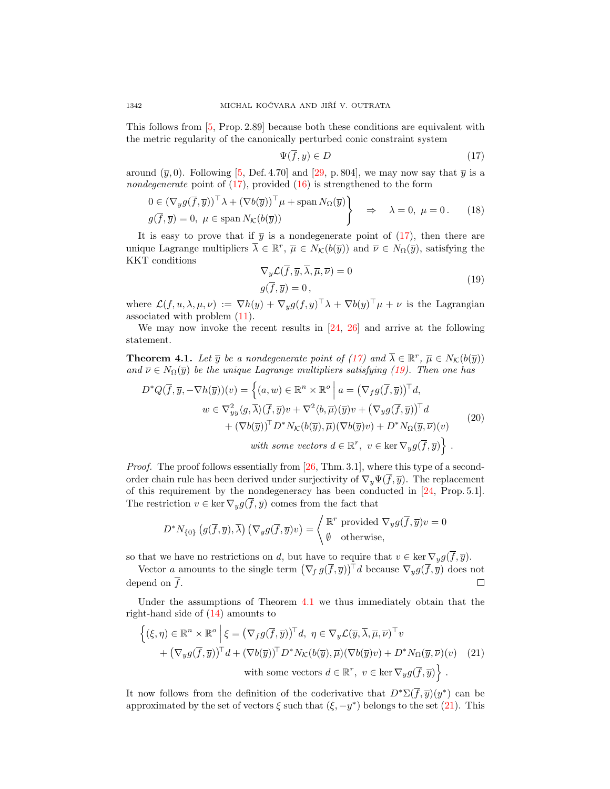This follows from [\[5,](#page-20-2) Prop. 2.89] because both these conditions are equivalent with the metric regularity of the canonically perturbed conic constraint system

<span id="page-13-0"></span>
$$
\Psi(\overline{f}, y) \in D \tag{17}
$$

around  $(\bar{y}, 0)$ . Following [\[5,](#page-20-2) Def. 4.70] and [\[29,](#page-21-10) p. 804], we may now say that  $\bar{y}$  is a nondegenerate point of  $(17)$ , provided  $(16)$  is strengthened to the form

<span id="page-13-4"></span>
$$
0 \in (\nabla_y g(\overline{f}, \overline{y}))^\top \lambda + (\nabla b(\overline{y}))^\top \mu + \operatorname{span} N_\Omega(\overline{y})
$$
  
 
$$
g(\overline{f}, \overline{y}) = 0, \ \mu \in \operatorname{span} N_\mathcal{K}(b(\overline{y})) \qquad \Rightarrow \qquad \lambda = 0, \ \mu = 0. \tag{18}
$$

It is easy to prove that if  $\bar{y}$  is a nondegenerate point of [\(17\)](#page-13-0), then there are unique Lagrange multipliers  $\overline{\lambda} \in \mathbb{R}^r$ ,  $\overline{\mu} \in N_{\mathcal{K}}(b(\overline{y}))$  and  $\overline{\nu} \in N_{\Omega}(\overline{y})$ , satisfying the KKT conditions

<span id="page-13-1"></span>
$$
\nabla_y \mathcal{L}(\overline{f}, \overline{y}, \overline{\lambda}, \overline{\mu}, \overline{\nu}) = 0
$$
  
 
$$
g(\overline{f}, \overline{y}) = 0,
$$
 (19)

where  $\mathcal{L}(f, u, \lambda, \mu, \nu) := \nabla h(y) + \nabla_y g(f, y)^\top \lambda + \nabla b(y)^\top \mu + \nu$  is the Lagrangian associated with problem [\(11\)](#page-11-3).

We may now invoke the recent results in [\[24,](#page-21-11) [26\]](#page-21-12) and arrive at the following statement.

<span id="page-13-2"></span>**Theorem 4.1.** Let  $\overline{y}$  be a nondegenerate point of [\(17\)](#page-13-0) and  $\overline{\lambda} \in \mathbb{R}^r$ ,  $\overline{\mu} \in N_{\mathcal{K}}(b(\overline{y}))$ and  $\overline{\nu} \in N_{\Omega}(\overline{y})$  be the unique Lagrange multipliers satisfying [\(19\)](#page-13-1). Then one has

$$
D^*Q(\overline{f}, \overline{y}, -\nabla h(\overline{y}))(v) = \left\{ (a, w) \in \mathbb{R}^n \times \mathbb{R}^o \mid a = (\nabla_f g(\overline{f}, \overline{y}))^\top d, w \in \nabla^2_{yy}\langle g, \overline{\lambda}\rangle(\overline{f}, \overline{y})v + \nabla^2\langle b, \overline{\mu}\rangle(\overline{y})v + (\nabla_y g(\overline{f}, \overline{y}))^\top d + (\nabla b(\overline{y}))^\top D^*N_{\mathcal{K}}(b(\overline{y}), \overline{\mu})(\nabla b(\overline{y})v) + D^*N_{\Omega}(\overline{y}, \overline{\nu})(v) with some vectors  $d \in \mathbb{R}^r$ ,  $v \in \text{ker } \nabla_y g(\overline{f}, \overline{y}) \right\}.$  (20)
$$

*Proof.* The proof follows essentially from [\[26,](#page-21-12) Thm. 3.1], where this type of a secondorder chain rule has been derived under surjectivity of  $\nabla_{\theta} \Psi(\overline{f}, \overline{y})$ . The replacement of this requirement by the nondegeneracy has been conducted in [\[24,](#page-21-11) Prop. 5.1]. The restriction  $v \in \ker \nabla_y g(\overline{f}, \overline{y})$  comes from the fact that

$$
D^*N_{\{0\}}(g(\overline{f},\overline{y}),\overline{\lambda})\left(\nabla_y g(\overline{f},\overline{y})v\right) = \begin{cases} \mathbb{R}^r \text{ provided } \nabla_y g(\overline{f},\overline{y})v = 0\\ \emptyset \text{ otherwise,} \end{cases}
$$

so that we have no restrictions on d, but have to require that  $v \in \ker \nabla_y g(\overline{f}, \overline{y})$ .

Vector a amounts to the single term  $(\nabla_f g(\overline{f}, \overline{y}))^{\top} d$  because  $\nabla_y g(\overline{f}, \overline{y})$  does not depend on  $\overline{f}$ .  $\Box$ 

Under the assumptions of Theorem [4.1](#page-13-2) we thus immediately obtain that the right-hand side of [\(14\)](#page-12-1) amounts to

<span id="page-13-3"></span>
$$
\left\{ (\xi,\eta) \in \mathbb{R}^n \times \mathbb{R}^o \, \Big| \, \xi = (\nabla_f g(\overline{f},\overline{y}))^\top d, \ \eta \in \nabla_y \mathcal{L}(\overline{y},\overline{\lambda},\overline{\mu},\overline{\nu})^\top v + (\nabla_y g(\overline{f},\overline{y}))^\top d + (\nabla b(\overline{y}))^\top D^* N_{\mathcal{K}}(b(\overline{y}),\overline{\mu})(\nabla b(\overline{y})v) + D^* N_{\Omega}(\overline{y},\overline{\nu})(v) \quad (21) with some vectors  $d \in \mathbb{R}^r$ ,  $v \in \ker \nabla_y g(\overline{f},\overline{y}) \right\}.$
$$

It now follows from the definition of the coderivative that  $D^* \Sigma(\overline{f}, \overline{y})(y^*)$  can be approximated by the set of vectors  $\xi$  such that  $(\xi, -y^*)$  belongs to the set [\(21\)](#page-13-3). This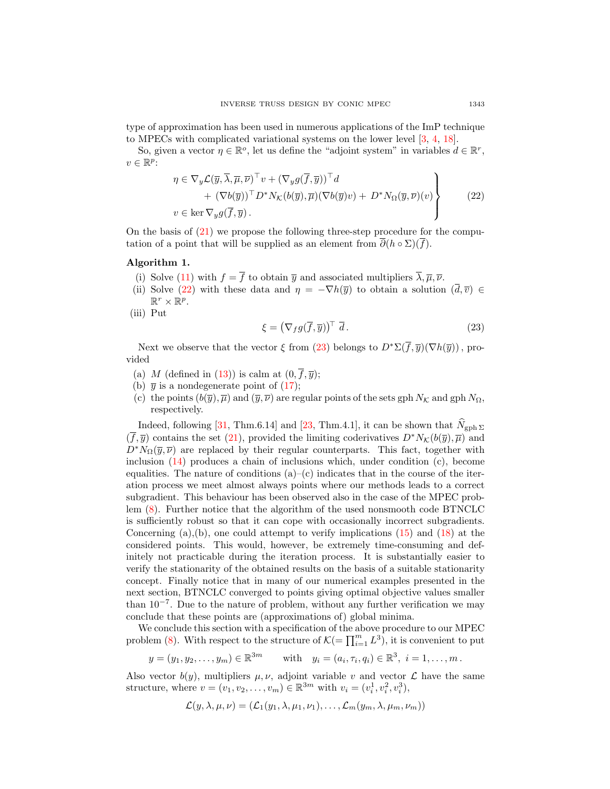type of approximation has been used in numerous applications of the ImP technique to MPECs with complicated variational systems on the lower level [\[3,](#page-20-11) [4,](#page-20-12) [18\]](#page-21-13).

So, given a vector  $\eta \in \mathbb{R}^o$ , let us define the "adjoint system" in variables  $d \in \mathbb{R}^r$ ,  $v \in \mathbb{R}^p$ :

<span id="page-14-0"></span>
$$
\eta \in \nabla_y \mathcal{L}(\overline{y}, \overline{\lambda}, \overline{\mu}, \overline{\nu})^\top v + (\nabla_y g(\overline{f}, \overline{y}))^\top d + (\nabla b(\overline{y}))^\top D^* N_{\mathcal{K}}(b(\overline{y}), \overline{\mu})(\nabla b(\overline{y})v) + D^* N_{\Omega}(\overline{y}, \overline{\nu})(v) v \in \ker \nabla_y g(\overline{f}, \overline{y}).
$$
\n(22)

On the basis of [\(21\)](#page-13-3) we propose the following three-step procedure for the computation of a point that will be supplied as an element from  $\overline{\partial}(h \circ \Sigma)(\overline{f}).$ 

## Algorithm 1.

- (i) Solve [\(11\)](#page-11-3) with  $f = \overline{f}$  to obtain  $\overline{y}$  and associated multipliers  $\overline{\lambda}, \overline{\mu}, \overline{\nu}$ .
- (ii) Solve [\(22\)](#page-14-0) with these data and  $\eta = -\nabla h(\overline{y})$  to obtain a solution  $(\overline{d}, \overline{v}) \in$  $\mathbb{R}^r \times \mathbb{R}^p$ .
- (iii) Put

<span id="page-14-1"></span>
$$
\xi = \left(\nabla_f g(\overline{f}, \overline{y})\right)^{\top} \overline{d} \,. \tag{23}
$$

Next we observe that the vector  $\xi$  from [\(23\)](#page-14-1) belongs to  $D^* \Sigma(\overline{f}, \overline{y})(\nabla h(\overline{y}))$ , provided

- (a) M (defined in [\(13\)](#page-12-3)) is calm at  $(0, \overline{f}, \overline{y})$ ;
- (b)  $\bar{y}$  is a nondegenerate point of [\(17\)](#page-13-0);
- (c) the points  $(b(\overline{y}), \overline{\mu})$  and  $(\overline{y}, \overline{\nu})$  are regular points of the sets gph  $N_K$  and gph  $N_\Omega$ , respectively.

Indeed, following [\[31,](#page-21-9) Thm.6.14] and [\[23,](#page-21-3) Thm.4.1], it can be shown that  $\widehat{N}_{\text{gph}} \Sigma$  $(\bar{f}, \bar{y})$  contains the set [\(21\)](#page-13-3), provided the limiting coderivatives  $D^*N_{\mathcal{K}}(b(\bar{y}), \bar{\mu})$  and  $D^*N_{\Omega}(\bar{y},\bar{\nu})$  are replaced by their regular counterparts. This fact, together with inclusion  $(14)$  produces a chain of inclusions which, under condition  $(c)$ , become equalities. The nature of conditions  $(a)$ – $(c)$  indicates that in the course of the iteration process we meet almost always points where our methods leads to a correct subgradient. This behaviour has been observed also in the case of the MPEC problem [\(8\)](#page-10-1). Further notice that the algorithm of the used nonsmooth code BTNCLC is sufficiently robust so that it can cope with occasionally incorrect subgradients. Concerning  $(a)$ ,  $(b)$ , one could attempt to verify implications  $(15)$  and  $(18)$  at the considered points. This would, however, be extremely time-consuming and definitely not practicable during the iteration process. It is substantially easier to verify the stationarity of the obtained results on the basis of a suitable stationarity concept. Finally notice that in many of our numerical examples presented in the next section, BTNCLC converged to points giving optimal objective values smaller than  $10^{-7}$ . Due to the nature of problem, without any further verification we may conclude that these points are (approximations of) global minima.

We conclude this section with a specification of the above procedure to our MPEC problem [\(8\)](#page-10-1). With respect to the structure of  $\mathcal{K} = \prod_{i=1}^{m} L^3$ , it is convenient to put

$$
y = (y_1, y_2, ..., y_m) \in \mathbb{R}^{3m}
$$
 with  $y_i = (a_i, \tau_i, q_i) \in \mathbb{R}^3$ ,  $i = 1, ..., m$ .

Also vector  $b(y)$ , multipliers  $\mu, \nu$ , adjoint variable v and vector  $\mathcal L$  have the same structure, where  $v = (v_1, v_2, \dots, v_m) \in \mathbb{R}^{3m}$  with  $v_i = (v_i^1, v_i^2, v_i^3)$ ,

$$
\mathcal{L}(y,\lambda,\mu,\nu)=(\mathcal{L}_1(y_1,\lambda,\mu_1,\nu_1),\ldots,\mathcal{L}_m(y_m,\lambda,\mu_m,\nu_m))
$$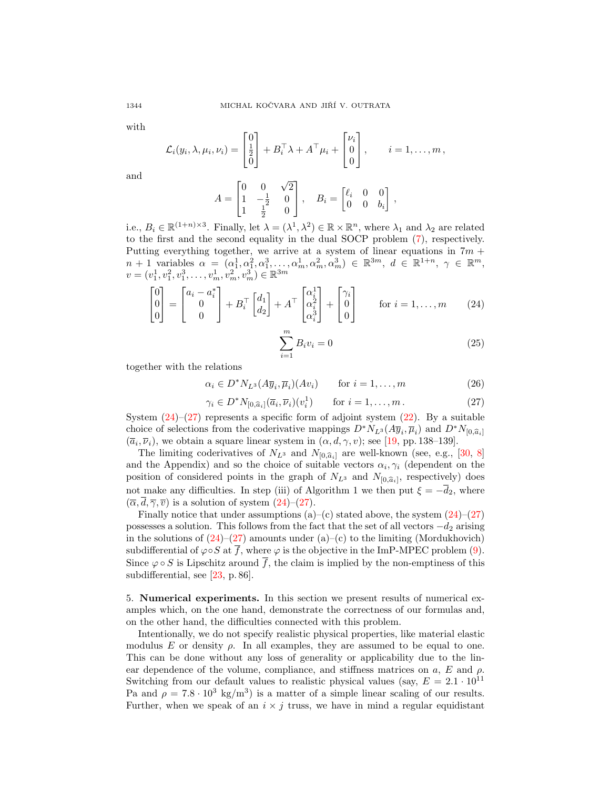with

and

$$
\mathcal{L}_i(y_i, \lambda, \mu_i, \nu_i) = \begin{bmatrix} 0 \\ \frac{1}{2} \\ 0 \end{bmatrix} + B_i^{\top} \lambda + A^{\top} \mu_i + \begin{bmatrix} \nu_i \\ 0 \\ 0 \end{bmatrix}, \qquad i = 1, \dots, m,
$$

$$
A = \begin{bmatrix} 0 & 0 & \sqrt{2} \\ 1 & -\frac{1}{2} & 0 \\ 1 & \frac{1}{2} & 0 \end{bmatrix}, \quad B_i = \begin{bmatrix} \ell_i & 0 & 0 \\ 0 & 0 & b_i \end{bmatrix},
$$

i.e.,  $B_i \in \mathbb{R}^{(1+n)\times 3}$ . Finally, let  $\lambda = (\lambda^1, \lambda^2) \in \mathbb{R} \times \mathbb{R}^n$ , where  $\lambda_1$  and  $\lambda_2$  are related to the first and the second equality in the dual SOCP problem [\(7\)](#page-8-1), respectively. Putting everything together, we arrive at a system of linear equations in  $7m +$  $n + 1$  variables  $\alpha = (\alpha_1^1, \alpha_1^2, \alpha_1^3, \dots, \alpha_m^1, \alpha_m^2, \alpha_m^3) \in \mathbb{R}^{3m}, d \in \mathbb{R}^{1+n}, \gamma \in \mathbb{R}^m$ ,  $v = (v_1^1, v_1^2, v_1^3, \dots, v_m^1, v_m^2, v_m^3) \in \mathbb{R}^{3m}$ 

<span id="page-15-1"></span>
$$
\begin{bmatrix} 0 \\ 0 \\ 0 \end{bmatrix} = \begin{bmatrix} a_i - a_i^* \\ 0 \\ 0 \end{bmatrix} + B_i^\top \begin{bmatrix} d_1 \\ d_2 \end{bmatrix} + A^\top \begin{bmatrix} \alpha_i^1 \\ \alpha_i^2 \\ \alpha_i^3 \end{bmatrix} + \begin{bmatrix} \gamma_i \\ 0 \\ 0 \end{bmatrix} \quad \text{for } i = 1, \dots, m \quad (24)
$$

<span id="page-15-4"></span>
$$
\sum_{i=1}^{m} B_i v_i = 0
$$
\n(25)

together with the relations

<span id="page-15-3"></span>
$$
\alpha_i \in D^* N_{L^3}(A \overline{y}_i, \overline{\mu}_i)(Av_i) \qquad \text{for } i = 1, \dots, m \tag{26}
$$

<span id="page-15-2"></span>
$$
\gamma_i \in D^* N_{[0,\widehat{a}_i]}(\overline{a}_i, \overline{\nu}_i)(v_i^1) \qquad \text{for } i = 1,\dots, m. \tag{27}
$$

System  $(24)$ – $(27)$  represents a specific form of adjoint system  $(22)$ . By a suitable choice of selections from the coderivative mappings  $D^*N_{L^3}(A\overline{y}_i,\overline{\mu}_i)$  and  $D^*N_{[0,\widehat{a}_i]}$ <br>  $(\overline{z}, \overline{\mu})$  are obtain a servere linear system in  $(z, d, \mu, \mu)$  as a [10, pp. 128, 129]  $(\overline{a}_i, \overline{\nu}_i)$ , we obtain a square linear system in  $(\alpha, d, \gamma, v)$ ; see [\[19,](#page-21-8) pp. 138–139].

The limiting coderivatives of  $N_{L^3}$  and  $N_{[0,\hat{a}_i]}$  are well-known (see, e.g., [\[30,](#page-21-5) [8\]](#page-20-13) and the Appendix) and so the choice of suitable vectors  $\alpha_i, \gamma_i$  (dependent on the position of considered points in the graph of  $N_{L^3}$  and  $N_{[0,\widehat{a}_i]}$ , respectively) does not make any difficulties. In step (iii) of Algorithm 1 we then put  $\xi = -\overline{d}_2$ , where  $(\overline{\alpha}, \overline{d}, \overline{\gamma}, \overline{v})$  is a solution of system  $(24)$ – $(27)$ .

Finally notice that under assumptions  $(a)$ – $(c)$  stated above, the system  $(24)$ – $(27)$ possesses a solution. This follows from the fact that the set of all vectors  $-d_2$  arising in the solutions of  $(24)$ – $(27)$  amounts under  $(a)$ – $(c)$  to the limiting (Mordukhovich) subdifferential of  $\varphi \circ S$  at  $\overline{f}$ , where  $\varphi$  is the objective in the ImP-MPEC problem [\(9\)](#page-11-1). Since  $\varphi \circ S$  is Lipschitz around  $\overline{f}$ , the claim is implied by the non-emptiness of this subdifferential, see [\[23,](#page-21-3) p. 86].

<span id="page-15-0"></span>5. Numerical experiments. In this section we present results of numerical examples which, on the one hand, demonstrate the correctness of our formulas and, on the other hand, the difficulties connected with this problem.

Intentionally, we do not specify realistic physical properties, like material elastic modulus E or density  $\rho$ . In all examples, they are assumed to be equal to one. This can be done without any loss of generality or applicability due to the linear dependence of the volume, compliance, and stiffness matrices on  $a, E$  and  $\rho$ . Switching from our default values to realistic physical values (say,  $E = 2.1 \cdot 10^{11}$ Pa and  $\rho = 7.8 \cdot 10^3 \text{ kg/m}^3$  is a matter of a simple linear scaling of our results. Further, when we speak of an  $i \times j$  truss, we have in mind a regular equidistant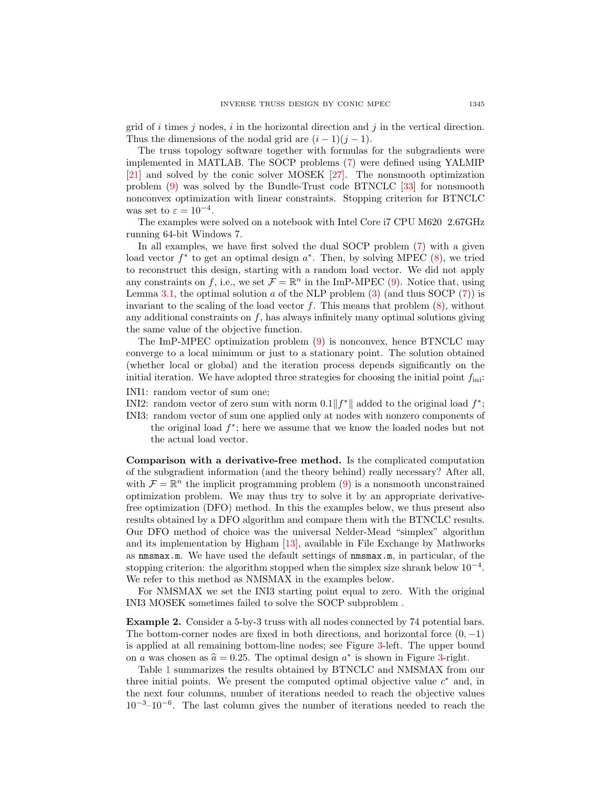grid of i times j nodes, i in the horizontal direction and j in the vertical direction. Thus the dimensions of the nodal grid are  $(i-1)(j-1)$ .

The truss topology software together with formulas for the subgradients were implemented in MATLAB. The SOCP problems [\(7\)](#page-8-1) were defined using YALMIP [\[21\]](#page-21-14) and solved by the conic solver MOSEK [\[27\]](#page-21-15). The nonsmooth optimization problem [\(9\)](#page-11-1) was solved by the Bundle-Trust code BTNCLC [\[33\]](#page-21-16) for nonsmooth nonconvex optimization with linear constraints. Stopping criterion for BTNCLC was set to  $\varepsilon = 10^{-4}$ .

The examples were solved on a notebook with Intel Core i7 CPU M620 2.67GHz running 64-bit Windows 7.

In all examples, we have first solved the dual SOCP problem [\(7\)](#page-8-1) with a given load vector  $f^*$  to get an optimal design  $a^*$ . Then, by solving MPEC  $(8)$ , we tried to reconstruct this design, starting with a random load vector. We did not apply any constraints on f, i.e., we set  $\mathcal{F} = \mathbb{R}^n$  in the ImP-MPEC [\(9\)](#page-11-1). Notice that, using Lemma [3.1,](#page-4-1) the optimal solution a of the NLP problem  $(3)$  (and thus SOCP  $(7)$ ) is invariant to the scaling of the load vector  $f$ . This means that problem  $(8)$ , without any additional constraints on  $f$ , has always infinitely many optimal solutions giving the same value of the objective function.

The ImP-MPEC optimization problem [\(9\)](#page-11-1) is nonconvex, hence BTNCLC may converge to a local minimum or just to a stationary point. The solution obtained (whether local or global) and the iteration process depends significantly on the initial iteration. We have adopted three strategies for choosing the initial point  $f_{\text{ini}}$ :

- INI1: random vector of sum one;
- INI2: random vector of zero sum with norm  $0.1||f^*||$  added to the original load  $f^*$ ;
- INI3: random vector of sum one applied only at nodes with nonzero components of the original load  $f^*$ ; here we assume that we know the loaded nodes but not the actual load vector.

Comparison with a derivative-free method. Is the complicated computation of the subgradient information (and the theory behind) really necessary? After all, with  $\mathcal{F} = \mathbb{R}^n$  the implicit programming problem [\(9\)](#page-11-1) is a nonsmooth unconstrained optimization problem. We may thus try to solve it by an appropriate derivativefree optimization (DFO) method. In this the examples below, we thus present also results obtained by a DFO algorithm and compare them with the BTNCLC results. Our DFO method of choice was the universal Nelder-Mead "simplex" algorithm and its implementation by Higham [\[13\]](#page-20-14), available in File Exchange by Mathworks as nmsmax.m. We have used the default settings of nmsmax.m, in particular, of the stopping criterion: the algorithm stopped when the simplex size shrank below  $10^{-4}$ . We refer to this method as NMSMAX in the examples below.

For NMSMAX we set the INI3 starting point equal to zero. With the original INI3 MOSEK sometimes failed to solve the SOCP subproblem .

<span id="page-16-0"></span>Example 2. Consider a 5-by-3 truss with all nodes connected by 74 potential bars. The bottom-corner nodes are fixed in both directions, and horizontal force  $(0, -1)$ is applied at all remaining bottom-line nodes; see Figure [3-](#page-17-0)left. The upper bound on a was chosen as  $\hat{a} = 0.25$ . The optimal design  $a^*$  is shown in Figure [3-](#page-17-0)right.<br>Table 1 summarizes the results obtained by BTMCLC and MMSMAX from

Table [1](#page-17-1) summarizes the results obtained by BTNCLC and NMSMAX from our three initial points. We present the computed optimal objective value  $c^*$  and, in the next four columns, number of iterations needed to reach the objective values 10<sup>−</sup><sup>3</sup>–10<sup>−</sup><sup>6</sup> . The last column gives the number of iterations needed to reach the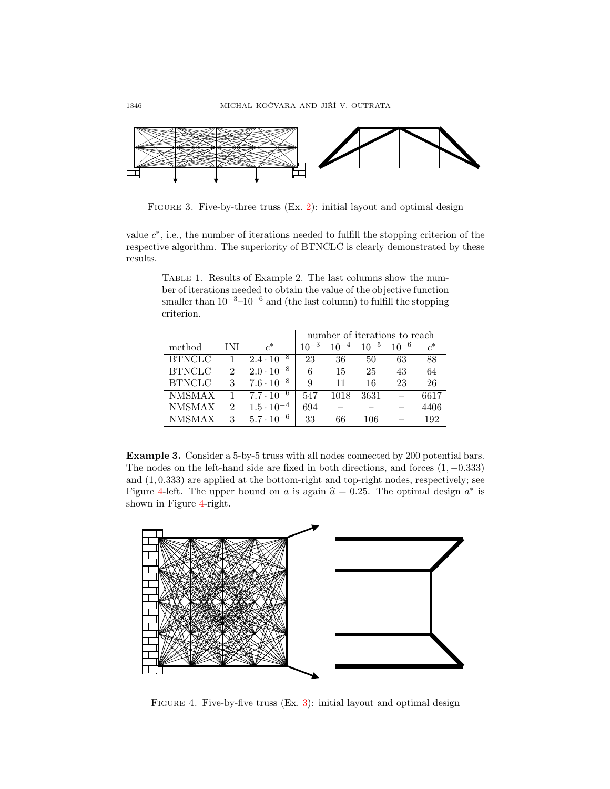

<span id="page-17-0"></span>FIGURE 3. Five-by-three truss (Ex. [2\)](#page-16-0): initial layout and optimal design

value  $c^*$ , i.e., the number of iterations needed to fulfill the stopping criterion of the respective algorithm. The superiority of BTNCLC is clearly demonstrated by these results.

<span id="page-17-1"></span>Table 1. Results of Example 2. The last columns show the number of iterations needed to obtain the value of the objective function smaller than  $10^{-3}$ – $10^{-6}$  and (the last column) to fulfill the stopping criterion.

|               |                             |                     | number of iterations to reach |           |           |           |                  |  |
|---------------|-----------------------------|---------------------|-------------------------------|-----------|-----------|-----------|------------------|--|
| method        | INI                         | $\mathfrak{c}^*$    | $10^{-3}$                     | $10^{-4}$ | $10^{-5}$ | $10^{-6}$ | $\mathfrak{c}^*$ |  |
| <b>BTNCLC</b> |                             | $2.4 \cdot 10^{-8}$ | 23                            | 36        | 50        | 63        | 88               |  |
| <b>BTNCLC</b> | $\mathcal{D}_{\mathcal{L}}$ | $2.0 \cdot 10^{-8}$ | 6                             | 15        | 25        | 43        | 64               |  |
| <b>BTNCLC</b> | 3                           | $7.6 \cdot 10^{-8}$ | 9                             | 11        | 16        | 23        | 26               |  |
| <b>NMSMAX</b> |                             | $7.7 \cdot 10^{-6}$ | 547                           | 1018      | 3631      |           | 6617             |  |
| <b>NMSMAX</b> | 2                           | $1.5 \cdot 10^{-4}$ | 694                           |           |           |           | 4406             |  |
| <b>NMSMAX</b> | 3                           | $5.7 \cdot 10^{-6}$ | 33                            | 66        | 106       |           | 192              |  |

<span id="page-17-3"></span>Example 3. Consider a 5-by-5 truss with all nodes connected by 200 potential bars. The nodes on the left-hand side are fixed in both directions, and forces  $(1, -0.333)$ and  $(1, 0.333)$  are applied at the bottom-right and top-right nodes, respectively; see Figure [4-](#page-17-2)left. The upper bound on a is again  $\hat{a} = 0.25$ . The optimal design  $a^*$  is shown in Figure 4 right. shown in Figure [4-](#page-17-2)right.



<span id="page-17-2"></span>FIGURE 4. Five-by-five truss  $(Ex. 3)$  $(Ex. 3)$ : initial layout and optimal design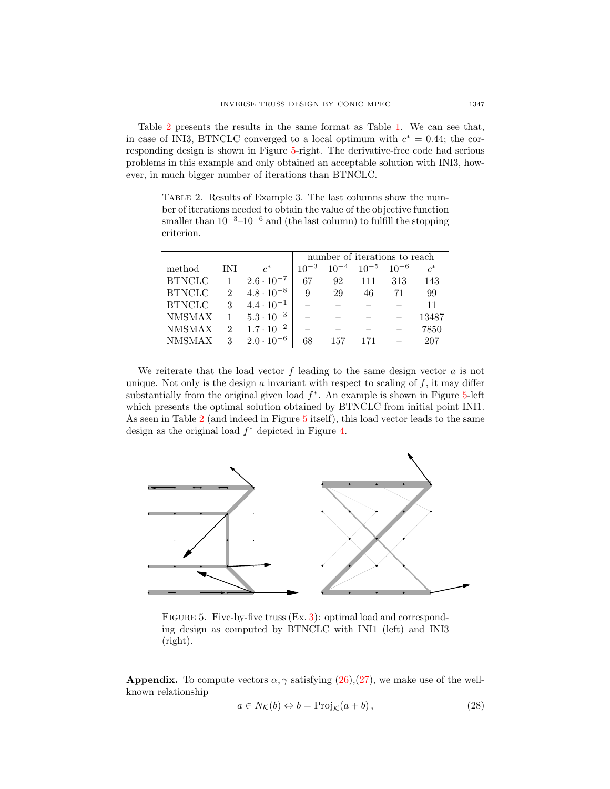Table [2](#page-18-0) presents the results in the same format as Table [1.](#page-17-1) We can see that, in case of INI3, BTNCLC converged to a local optimum with  $c^* = 0.44$ ; the corresponding design is shown in Figure [5-](#page-18-1)right. The derivative-free code had serious problems in this example and only obtained an acceptable solution with INI3, however, in much bigger number of iterations than BTNCLC.

<span id="page-18-0"></span>Table 2. Results of Example 3. The last columns show the number of iterations needed to obtain the value of the objective function smaller than  $10^{-3}$ – $10^{-6}$  and (the last column) to fulfill the stopping criterion.

|               |     |                     | number of iterations to reach |           |           |           |       |  |
|---------------|-----|---------------------|-------------------------------|-----------|-----------|-----------|-------|--|
| method        | INI | $\mathcal{C}^*$     | $10^{-3}$                     | $10^{-4}$ | $10^{-5}$ | $10^{-6}$ | $c^*$ |  |
| <b>BTNCLC</b> |     | $2.6 \cdot 10^{-7}$ | 67                            | 92        | 111       | 313       | 143   |  |
| <b>BTNCLC</b> | 2   | $4.8 \cdot 10^{-8}$ | 9                             | 29        | 46        | 71        | 99    |  |
| <b>BTNCLC</b> | 3   | $4.4 \cdot 10^{-1}$ |                               |           |           |           | 11    |  |
| <b>NMSMAX</b> |     | $5.3 \cdot 10^{-3}$ |                               |           |           |           | 13487 |  |
| <b>NMSMAX</b> | 9   | $1.7 \cdot 10^{-2}$ |                               |           |           |           | 7850  |  |
| <b>NMSMAX</b> | 3   | $2.0 \cdot 10^{-6}$ | 68                            | 157       | 171       |           | 207   |  |

We reiterate that the load vector  $f$  leading to the same design vector  $a$  is not unique. Not only is the design  $a$  invariant with respect to scaling of  $f$ , it may differ substantially from the original given load  $f^*$ . An example is shown in Figure [5-](#page-18-1)left which presents the optimal solution obtained by BTNCLC from initial point INI1. As seen in Table [2](#page-18-0) (and indeed in Figure [5](#page-18-1) itself), this load vector leads to the same design as the original load  $f^*$  depicted in Figure [4.](#page-17-2)



<span id="page-18-1"></span>FIGURE 5. Five-by-five truss (Ex. [3\)](#page-17-3): optimal load and corresponding design as computed by BTNCLC with INI1 (left) and INI3 (right).

**Appendix.** To compute vectors  $\alpha$ ,  $\gamma$  satisfying [\(26\)](#page-15-3),[\(27\)](#page-15-2), we make use of the wellknown relationship

<span id="page-18-2"></span>
$$
a \in N_{\mathcal{K}}(b) \Leftrightarrow b = \text{Proj}_{\mathcal{K}}(a+b), \qquad (28)
$$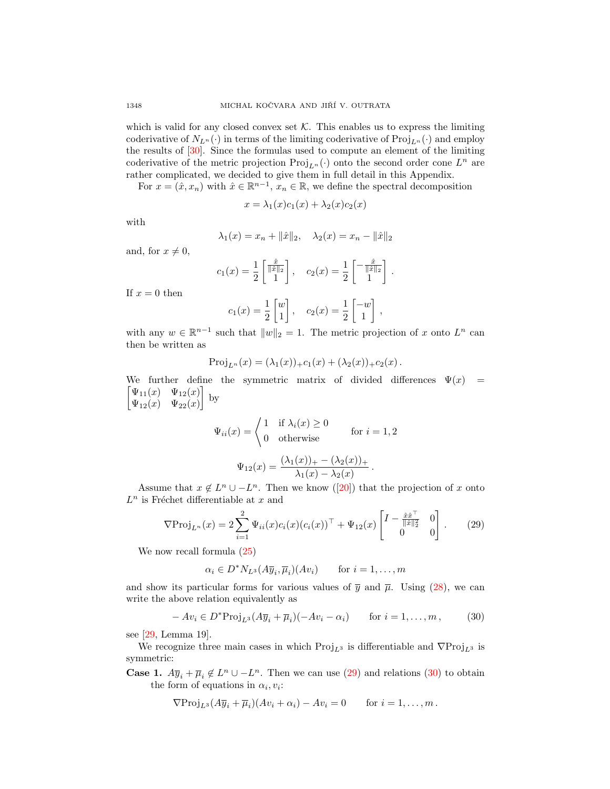which is valid for any closed convex set  $K$ . This enables us to express the limiting coderivative of  $N_{L^n}(\cdot)$  in terms of the limiting coderivative of  $\text{Proj}_{L^n}(\cdot)$  and employ the results of [\[30\]](#page-21-5). Since the formulas used to compute an element of the limiting coderivative of the metric projection  $\text{Proj}_{L^{n}}(\cdot)$  onto the second order cone  $L^{n}$  are rather complicated, we decided to give them in full detail in this Appendix.

For  $x = (\hat{x}, x_n)$  with  $\hat{x} \in \mathbb{R}^{n-1}$ ,  $x_n \in \mathbb{R}$ , we define the spectral decomposition

$$
x = \lambda_1(x)c_1(x) + \lambda_2(x)c_2(x)
$$

with

$$
\lambda_1(x) = x_n + ||\hat{x}||_2, \quad \lambda_2(x) = x_n - ||\hat{x}||_2
$$

and, for  $x \neq 0$ ,

$$
c_1(x) = \frac{1}{2} \begin{bmatrix} \frac{\hat{x}}{\|\hat{x}\|_2} \\ 1 \end{bmatrix}, \quad c_2(x) = \frac{1}{2} \begin{bmatrix} -\frac{\hat{x}}{\|\hat{x}\|_2} \\ 1 \end{bmatrix}.
$$

If  $x = 0$  then

$$
c_1(x) = \frac{1}{2} \begin{bmatrix} w \\ 1 \end{bmatrix}, \quad c_2(x) = \frac{1}{2} \begin{bmatrix} -w \\ 1 \end{bmatrix},
$$

with any  $w \in \mathbb{R}^{n-1}$  such that  $||w||_2 = 1$ . The metric projection of x onto  $L^n$  can then be written as

$$
Proj_{L^n}(x) = (\lambda_1(x))_{+}c_1(x) + (\lambda_2(x))_{+}c_2(x).
$$

We further define the symmetric matrix of divided differences  $\Psi(x)$  =  $\lbrack \Psi_{11}(x) \quad \Psi_{12}(x) \rbrack$  $\Psi_{12}(x) \quad \Psi_{22}(x)$  $\Big]$  by

$$
\Psi_{ii}(x) = \begin{cases}\n1 & \text{if } \lambda_i(x) \ge 0 \\
0 & \text{otherwise}\n\end{cases}
$$
 for  $i = 1, 2$   

$$
\Psi_{12}(x) = \frac{(\lambda_1(x))_+ - (\lambda_2(x))_+}{\lambda_1(x) - \lambda_2(x)}.
$$

Assumethat  $x \notin L^n \cup -L^n$ . Then we know ([\[20\]](#page-21-17)) that the projection of x onto  $L^n$  is Fréchet differentiable at x and

<span id="page-19-0"></span>
$$
\nabla \text{Proj}_{L^n}(x) = 2 \sum_{i=1}^2 \Psi_{ii}(x) c_i(x) (c_i(x))^{\top} + \Psi_{12}(x) \begin{bmatrix} I - \frac{\hat{x}\hat{x}^{\top}}{\|\hat{x}\|_2^2} & 0\\ 0 & 0 \end{bmatrix} . \tag{29}
$$

We now recall formula [\(25\)](#page-15-4)

$$
\alpha_i \in D^* N_{L^3}(A \overline{y}_i, \overline{\mu}_i)(Av_i) \qquad \text{for } i = 1, \dots, m
$$

and show its particular forms for various values of  $\bar{y}$  and  $\bar{\mu}$ . Using [\(28\)](#page-18-2), we can write the above relation equivalently as

<span id="page-19-1"></span>
$$
-Av_i \in D^*Proj_{L^3}(A\overline{y}_i + \overline{\mu}_i)(-Av_i - \alpha_i) \quad \text{for } i = 1, ..., m,
$$
 (30)

see [\[29,](#page-21-10) Lemma 19].

We recognize three main cases in which  $\text{Proj}_{L^3}$  is differentiable and  $\nabla \text{Proj}_{L^3}$  is symmetric:

**Case 1.**  $A\overline{y}_i + \overline{\mu}_i \notin L^n \cup -L^n$ . Then we can use [\(29\)](#page-19-0) and relations [\(30\)](#page-19-1) to obtain the form of equations in  $\alpha_i, v_i$ :

$$
\nabla \text{Proj}_{L^3}(A\overline{y}_i + \overline{\mu}_i)(Av_i + \alpha_i) - Av_i = 0 \quad \text{for } i = 1, ..., m.
$$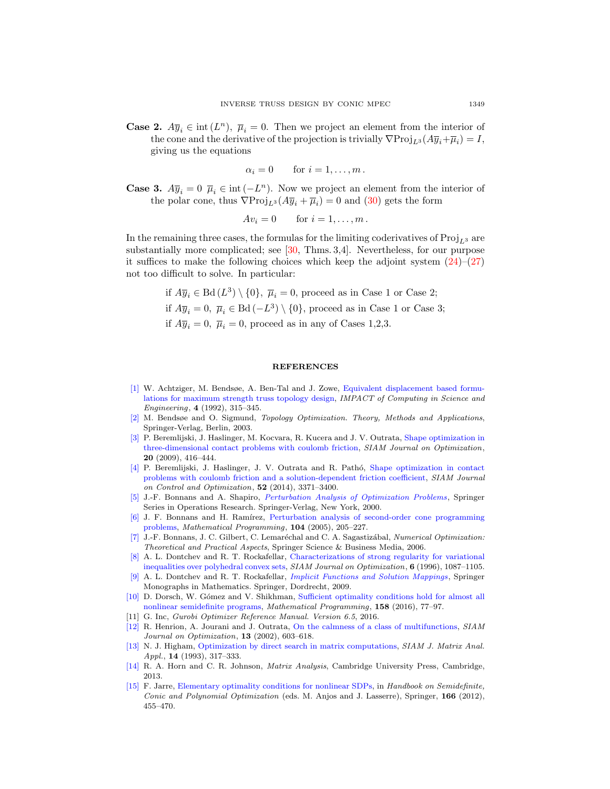**Case 2.**  $A\overline{y}_i \in \text{int}(L^n)$ ,  $\overline{\mu}_i = 0$ . Then we project an element from the interior of the cone and the derivative of the projection is trivially  $\nabla \text{Proj}_{L^3}(A\overline{y}_i + \overline{\mu}_i) = I$ , giving us the equations

 $\alpha_i = 0$  for  $i = 1, \ldots, m$ .

**Case 3.**  $A\overline{y}_i = 0$   $\overline{\mu}_i \in \text{int}(-L^n)$ . Now we project an element from the interior of the polar cone, thus  $\nabla \text{Proj}_{L^3}(A\overline{y}_i + \overline{\mu}_i) = 0$  and [\(30\)](#page-19-1) gets the form

$$
Av_i = 0 \qquad \text{for } i = 1, \dots, m \, .
$$

In the remaining three cases, the formulas for the limiting coderivatives of  $\text{Proj}_{L^3}$  are substantially more complicated; see [\[30,](#page-21-5) Thms. 3,4]. Nevertheless, for our purpose it suffices to make the following choices which keep the adjoint system  $(24)$ – $(27)$ not too difficult to solve. In particular:

> if  $A\overline{y}_i \in \text{Bd}(L^3) \setminus \{0\}$ ,  $\overline{\mu}_i = 0$ , proceed as in Case 1 or Case 2; if  $A\overline{y}_i = 0$ ,  $\overline{\mu}_i \in \text{Bd}(-L^3) \setminus \{0\}$ , proceed as in Case 1 or Case 3; if  $A\overline{y}_i = 0$ ,  $\overline{\mu}_i = 0$ , proceed as in any of Cases 1,2,3.

#### REFERENCES

- <span id="page-20-0"></span>[\[1\]](http://www.ams.org/mathscinet-getitem?mr=MR1196354&return=pdf) W. Achtziger, M. Bendsøe, A. Ben-Tal and J. Zowe, [Equivalent displacement based formu](http://dx.doi.org/10.1016/0899-8248(92)90005-S)[lations for maximum strength truss topology design,](http://dx.doi.org/10.1016/0899-8248(92)90005-S) IMPACT of Computing in Science and Engineering, 4 (1992), 315–345.
- <span id="page-20-1"></span>[\[2\]](http://www.ams.org/mathscinet-getitem?mr=MR2008524&return=pdf) M. Bendsøe and O. Sigmund, Topology Optimization. Theory, Methods and Applications, Springer-Verlag, Berlin, 2003.
- <span id="page-20-11"></span>[\[3\]](http://www.ams.org/mathscinet-getitem?mr=MR2507130&return=pdf) P. Beremlijski, J. Haslinger, M. Kocvara, R. Kucera and J. V. Outrata, [Shape optimization in](http://dx.doi.org/10.1137/080714427) [three-dimensional contact problems with coulomb friction,](http://dx.doi.org/10.1137/080714427) SIAM Journal on Optimization, 20 (2009), 416–444.
- <span id="page-20-12"></span>[\[4\]](http://www.ams.org/mathscinet-getitem?mr=MR3272620&return=pdf) P. Beremlijski, J. Haslinger, J. V. Outrata and R. Pathó, [Shape optimization in contact](http://dx.doi.org/10.1137/130948070) [problems with coulomb friction and a solution-dependent friction coefficient,](http://dx.doi.org/10.1137/130948070) SIAM Journal on Control and Optimization, 52 (2014), 3371–3400.
- <span id="page-20-2"></span>[\[5\]](http://www.ams.org/mathscinet-getitem?mr=MR1756264&return=pdf) J.-F. Bonnans and A. Shapiro, [Perturbation Analysis of Optimization Problems](http://dx.doi.org/10.1007/978-1-4612-1394-9), Springer Series in Operations Research. Springer-Verlag, New York, 2000.
- <span id="page-20-7"></span>[\[6\]](http://www.ams.org/mathscinet-getitem?mr=MR2179235&return=pdf) J. F. Bonnans and H. Ramírez, [Perturbation analysis of second-order cone programming](http://dx.doi.org/10.1007/s10107-005-0613-4) [problems,](http://dx.doi.org/10.1007/s10107-005-0613-4) Mathematical Programming, 104 (2005), 205–227.
- <span id="page-20-8"></span>[\[7\]](http://www.ams.org/mathscinet-getitem?mr=MR2265882&return=pdf) J.-F. Bonnans, J. C. Gilbert, C. Lemaréchal and C. A. Sagastizábal, Numerical Optimization: Theoretical and Practical Aspects, Springer Science & Business Media, 2006.
- <span id="page-20-13"></span>[\[8\]](http://www.ams.org/mathscinet-getitem?mr=MR1416530&return=pdf) A. L. Dontchev and R. T. Rockafellar, [Characterizations of strong regularity for variational](http://dx.doi.org/10.1137/S1052623495284029) [inequalities over polyhedral convex sets,](http://dx.doi.org/10.1137/S1052623495284029) SIAM Journal on Optimization, 6 (1996), 1087–1105.
- <span id="page-20-6"></span>[\[9\]](http://www.ams.org/mathscinet-getitem?mr=MR2515104&return=pdf) A. L. Dontchev and R. T. Rockafellar, [Implicit Functions and Solution Mappings](http://dx.doi.org/10.1007/978-0-387-87821-8), Springer Monographs in Mathematics. Springer, Dordrecht, 2009.
- <span id="page-20-10"></span>[\[10\]](http://www.ams.org/mathscinet-getitem?mr=MR3511378&return=pdf) D. Dorsch, W. Gómez and V. Shikhman, [Sufficient optimality conditions hold for almost all](http://dx.doi.org/10.1007/s10107-015-0915-0) [nonlinear semidefinite programs,](http://dx.doi.org/10.1007/s10107-015-0915-0) Mathematical Programming, 158 (2016), 77–97.
- <span id="page-20-5"></span>[11] G. Inc, Gurobi Optimizer Reference Manual. Version 6.5, 2016.
- <span id="page-20-9"></span>[\[12\]](http://www.ams.org/mathscinet-getitem?mr=MR1951037&return=pdf) R. Henrion, A. Jourani and J. Outrata, [On the calmness of a class of multifunctions,](http://dx.doi.org/10.1137/S1052623401395553) SIAM Journal on Optimization, 13 (2002), 603–618.
- <span id="page-20-14"></span>[\[13\]](http://www.ams.org/mathscinet-getitem?mr=MR1211791&return=pdf) N. J. Higham, [Optimization by direct search in matrix computations,](http://dx.doi.org/10.1137/0614023) SIAM J. Matrix Anal. Appl., **14** (1993), 317-333.
- <span id="page-20-4"></span>[\[14\]](http://www.ams.org/mathscinet-getitem?mr=MR2978290&return=pdf) R. A. Horn and C. R. Johnson, Matrix Analysis, Cambridge University Press, Cambridge, 2013.
- <span id="page-20-3"></span>[\[15\]](http://www.ams.org/mathscinet-getitem?mr=MR2894704&return=pdf) F. Jarre, [Elementary optimality conditions for nonlinear SDPs,](http://dx.doi.org/10.1007/978-1-4614-0769-0_16) in Handbook on Semidefinite, Conic and Polynomial Optimization (eds. M. Anjos and J. Lasserre), Springer, 166 (2012), 455–470.